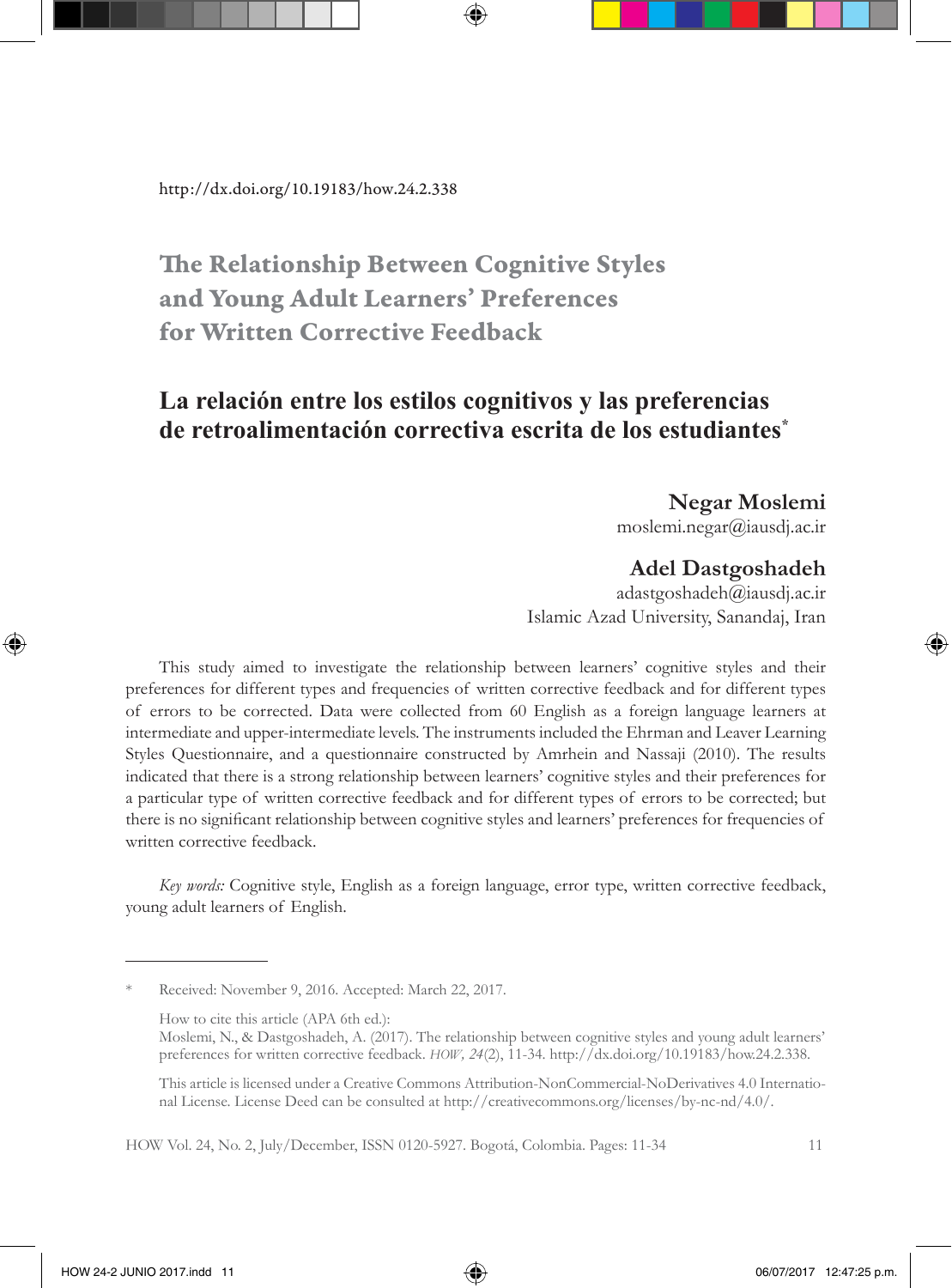# The Relationship Between Cognitive Styles and Young Adult Learners' Preferences for Written Corrective Feedback

## **La relación entre los estilos cognitivos y las preferencias de retroalimentación correctiva escrita de los estudiantes\***

#### **Negar Moslemi**

moslemi.negar@iausdj.ac.ir

### **Adel Dastgoshadeh**

adastgoshadeh@iausdj.ac.ir Islamic Azad University, Sanandaj, Iran

This study aimed to investigate the relationship between learners' cognitive styles and their preferences for different types and frequencies of written corrective feedback and for different types of errors to be corrected. Data were collected from 60 English as a foreign language learners at intermediate and upper-intermediate levels. The instruments included the Ehrman and Leaver Learning Styles Questionnaire, and a questionnaire constructed by Amrhein and Nassaji (2010). The results indicated that there is a strong relationship between learners' cognitive styles and their preferences for a particular type of written corrective feedback and for different types of errors to be corrected; but there is no significant relationship between cognitive styles and learners' preferences for frequencies of written corrective feedback.

*Key words:* Cognitive style, English as a foreign language, error type, written corrective feedback, young adult learners of English.

Received: November 9, 2016. Accepted: March 22, 2017.

How to cite this article (APA 6th ed.):

Moslemi, N., & Dastgoshadeh, A. (2017). The relationship between cognitive styles and young adult learners' preferences for written corrective feedback. *HOW, 24*(2), 11-34. http://dx.doi.org/10.19183/how.24.2.338.

This article is licensed under a Creative Commons Attribution-NonCommercial-NoDerivatives 4.0 International License. License Deed can be consulted at http://creativecommons.org/licenses/by-nc-nd/4.0/.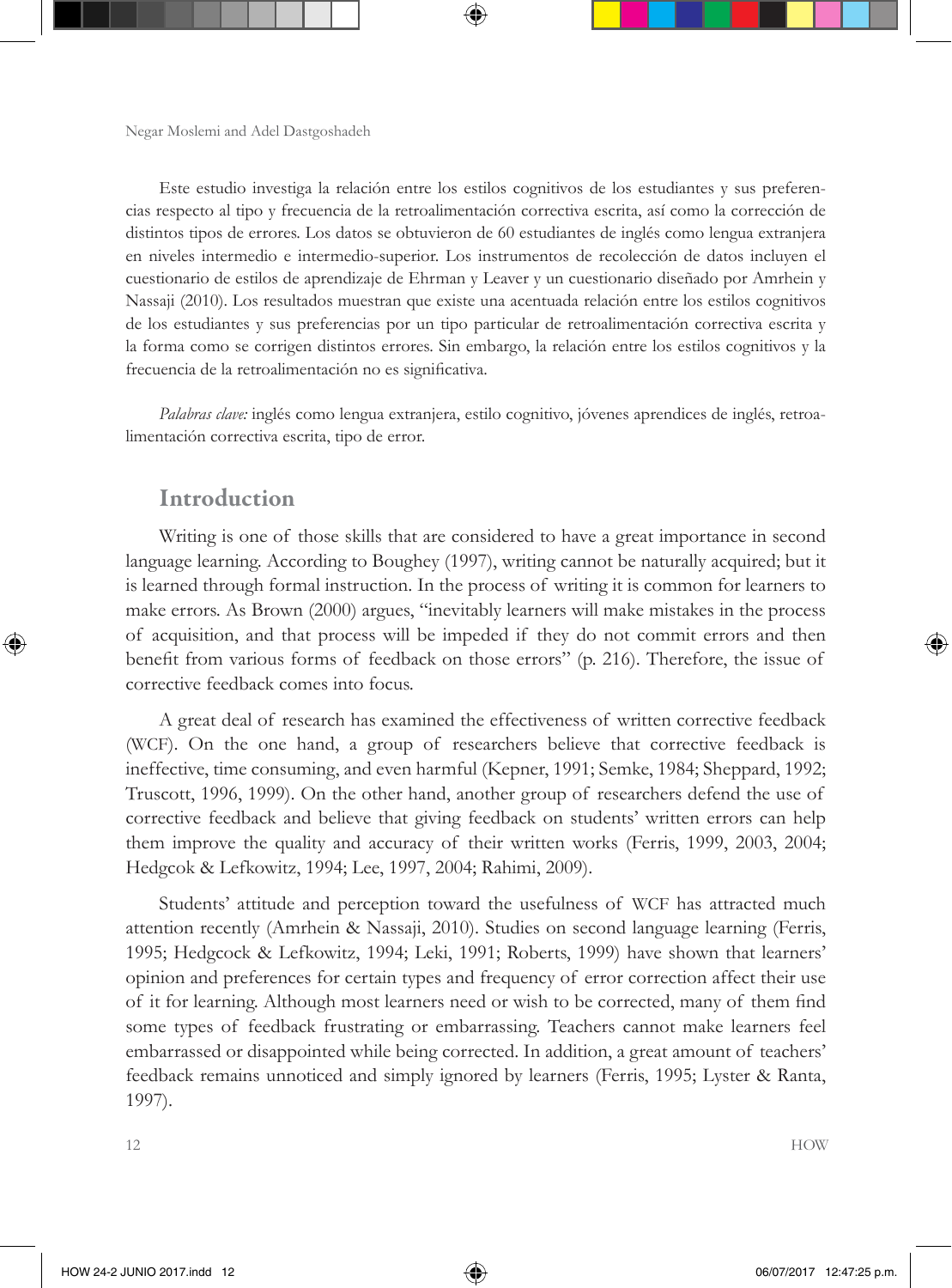Este estudio investiga la relación entre los estilos cognitivos de los estudiantes y sus preferencias respecto al tipo y frecuencia de la retroalimentación correctiva escrita, así como la corrección de distintos tipos de errores. Los datos se obtuvieron de 60 estudiantes de inglés como lengua extranjera en niveles intermedio e intermedio-superior. Los instrumentos de recolección de datos incluyen el cuestionario de estilos de aprendizaje de Ehrman y Leaver y un cuestionario diseñado por Amrhein y Nassaji (2010). Los resultados muestran que existe una acentuada relación entre los estilos cognitivos de los estudiantes y sus preferencias por un tipo particular de retroalimentación correctiva escrita y la forma como se corrigen distintos errores. Sin embargo, la relación entre los estilos cognitivos y la frecuencia de la retroalimentación no es significativa.

*Palabras clave:* inglés como lengua extranjera, estilo cognitivo, jóvenes aprendices de inglés, retroalimentación correctiva escrita, tipo de error.

### Introduction

Writing is one of those skills that are considered to have a great importance in second language learning. According to Boughey (1997), writing cannot be naturally acquired; but it is learned through formal instruction. In the process of writing it is common for learners to make errors. As Brown (2000) argues, "inevitably learners will make mistakes in the process of acquisition, and that process will be impeded if they do not commit errors and then benefit from various forms of feedback on those errors" (p. 216). Therefore, the issue of corrective feedback comes into focus.

A great deal of research has examined the effectiveness of written corrective feedback (WCF). On the one hand, a group of researchers believe that corrective feedback is ineffective, time consuming, and even harmful (Kepner, 1991; Semke, 1984; Sheppard, 1992; Truscott, 1996, 1999). On the other hand, another group of researchers defend the use of corrective feedback and believe that giving feedback on students' written errors can help them improve the quality and accuracy of their written works (Ferris, 1999, 2003, 2004; Hedgcok & Lefkowitz, 1994; Lee, 1997, 2004; Rahimi, 2009).

Students' attitude and perception toward the usefulness of WCF has attracted much attention recently (Amrhein & Nassaji, 2010). Studies on second language learning (Ferris, 1995; Hedgcock & Lefkowitz, 1994; Leki, 1991; Roberts, 1999) have shown that learners' opinion and preferences for certain types and frequency of error correction affect their use of it for learning. Although most learners need or wish to be corrected, many of them find some types of feedback frustrating or embarrassing. Teachers cannot make learners feel embarrassed or disappointed while being corrected. In addition, a great amount of teachers' feedback remains unnoticed and simply ignored by learners (Ferris, 1995; Lyster & Ranta, 1997).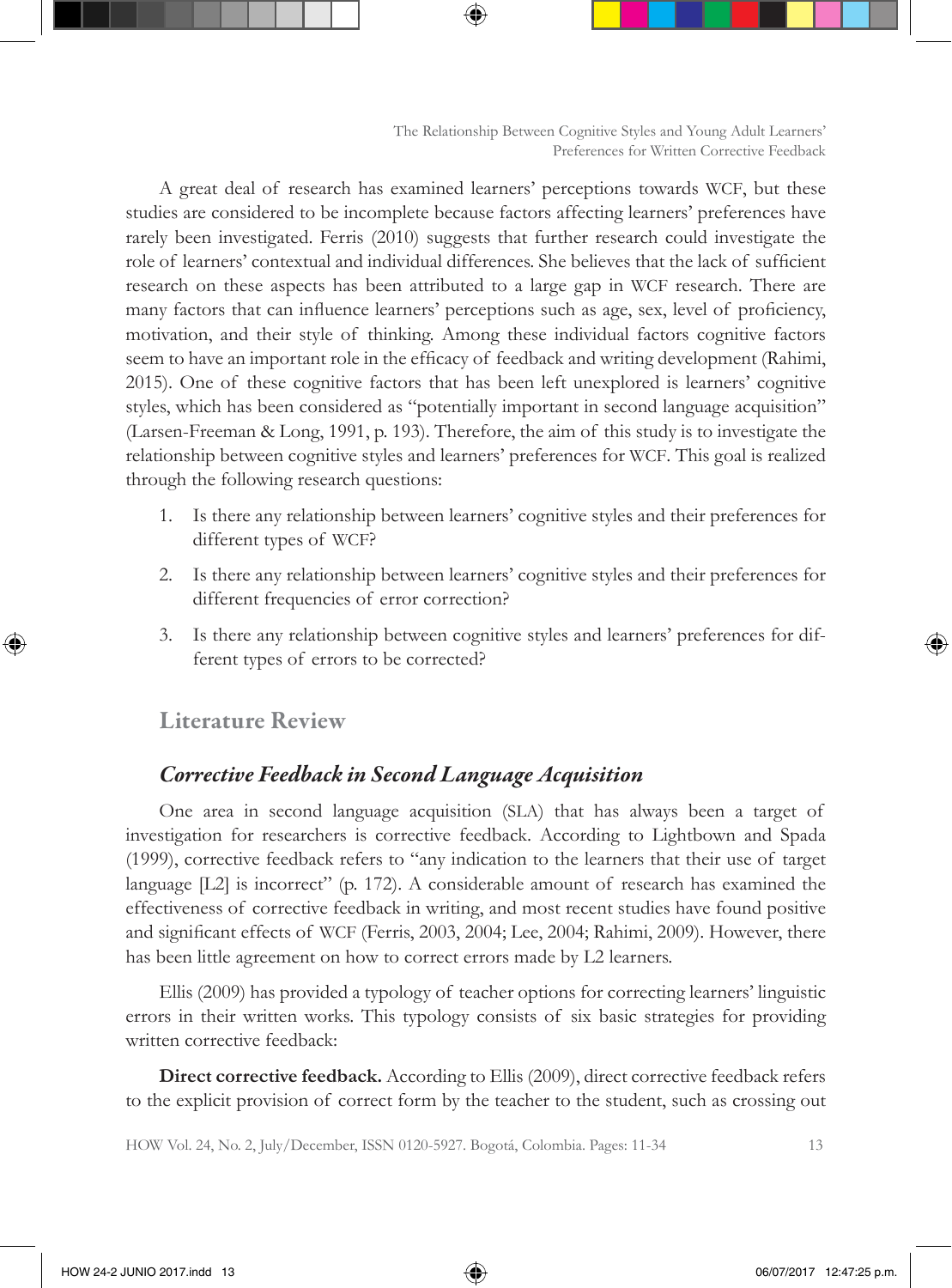A great deal of research has examined learners' perceptions towards WCF, but these studies are considered to be incomplete because factors affecting learners' preferences have rarely been investigated. Ferris (2010) suggests that further research could investigate the role of learners' contextual and individual differences. She believes that the lack of sufficient research on these aspects has been attributed to a large gap in WCF research. There are many factors that can influence learners' perceptions such as age, sex, level of proficiency, motivation, and their style of thinking. Among these individual factors cognitive factors seem to have an important role in the efficacy of feedback and writing development (Rahimi, 2015). One of these cognitive factors that has been left unexplored is learners' cognitive styles, which has been considered as "potentially important in second language acquisition" (Larsen-Freeman & Long, 1991, p. 193). Therefore, the aim of this study is to investigate the relationship between cognitive styles and learners' preferences for WCF. This goal is realized through the following research questions:

- 1. Is there any relationship between learners' cognitive styles and their preferences for different types of WCF?
- 2. Is there any relationship between learners' cognitive styles and their preferences for different frequencies of error correction?
- 3. Is there any relationship between cognitive styles and learners' preferences for different types of errors to be corrected?

### Literature Review

### *Corrective Feedback in Second Language Acquisition*

One area in second language acquisition (SLA) that has always been a target of investigation for researchers is corrective feedback. According to Lightbown and Spada (1999), corrective feedback refers to "any indication to the learners that their use of target language [L2] is incorrect" (p. 172). A considerable amount of research has examined the effectiveness of corrective feedback in writing, and most recent studies have found positive and significant effects of WCF (Ferris, 2003, 2004; Lee, 2004; Rahimi, 2009). However, there has been little agreement on how to correct errors made by L2 learners.

Ellis (2009) has provided a typology of teacher options for correcting learners' linguistic errors in their written works. This typology consists of six basic strategies for providing written corrective feedback:

**Direct corrective feedback.** According to Ellis (2009), direct corrective feedback refers to the explicit provision of correct form by the teacher to the student, such as crossing out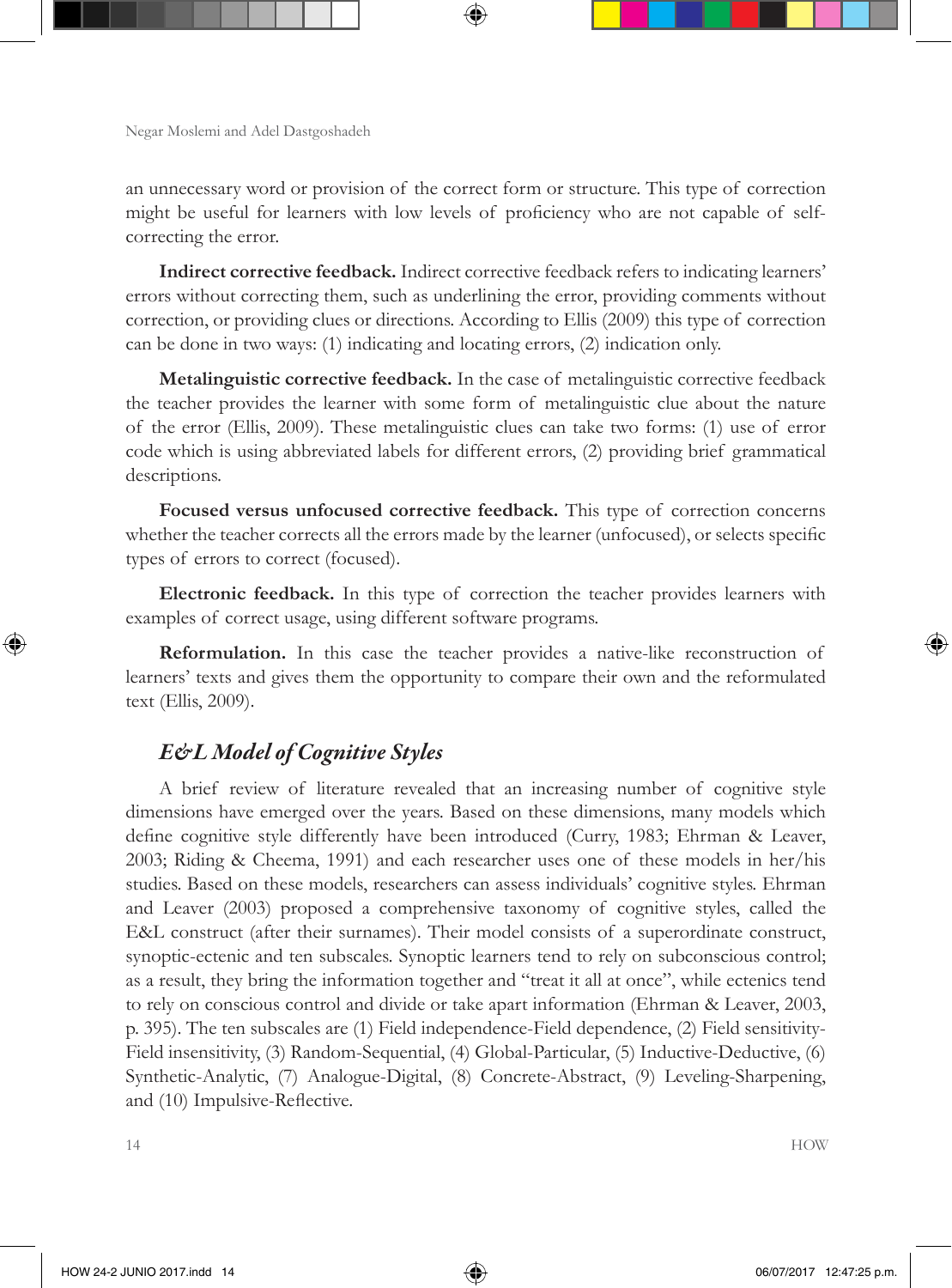an unnecessary word or provision of the correct form or structure. This type of correction might be useful for learners with low levels of proficiency who are not capable of selfcorrecting the error.

**Indirect corrective feedback.** Indirect corrective feedback refers to indicating learners' errors without correcting them, such as underlining the error, providing comments without correction, or providing clues or directions. According to Ellis (2009) this type of correction can be done in two ways: (1) indicating and locating errors, (2) indication only.

**Metalinguistic corrective feedback.** In the case of metalinguistic corrective feedback the teacher provides the learner with some form of metalinguistic clue about the nature of the error (Ellis, 2009). These metalinguistic clues can take two forms: (1) use of error code which is using abbreviated labels for different errors, (2) providing brief grammatical descriptions.

**Focused versus unfocused corrective feedback.** This type of correction concerns whether the teacher corrects all the errors made by the learner (unfocused), or selects specific types of errors to correct (focused).

**Electronic feedback.** In this type of correction the teacher provides learners with examples of correct usage, using different software programs.

**Reformulation.** In this case the teacher provides a native-like reconstruction of learners' texts and gives them the opportunity to compare their own and the reformulated text (Ellis, 2009).

### *E&L Model of Cognitive Styles*

A brief review of literature revealed that an increasing number of cognitive style dimensions have emerged over the years. Based on these dimensions, many models which define cognitive style differently have been introduced (Curry, 1983; Ehrman & Leaver, 2003; Riding & Cheema, 1991) and each researcher uses one of these models in her/his studies. Based on these models, researchers can assess individuals' cognitive styles. Ehrman and Leaver (2003) proposed a comprehensive taxonomy of cognitive styles, called the E&L construct (after their surnames). Their model consists of a superordinate construct, synoptic-ectenic and ten subscales. Synoptic learners tend to rely on subconscious control; as a result, they bring the information together and "treat it all at once", while ectenics tend to rely on conscious control and divide or take apart information (Ehrman & Leaver, 2003, p. 395). The ten subscales are (1) Field independence-Field dependence, (2) Field sensitivity-Field insensitivity, (3) Random-Sequential, (4) Global-Particular, (5) Inductive-Deductive, (6) Synthetic-Analytic, (7) Analogue-Digital, (8) Concrete-Abstract, (9) Leveling-Sharpening, and (10) Impulsive-Reflective.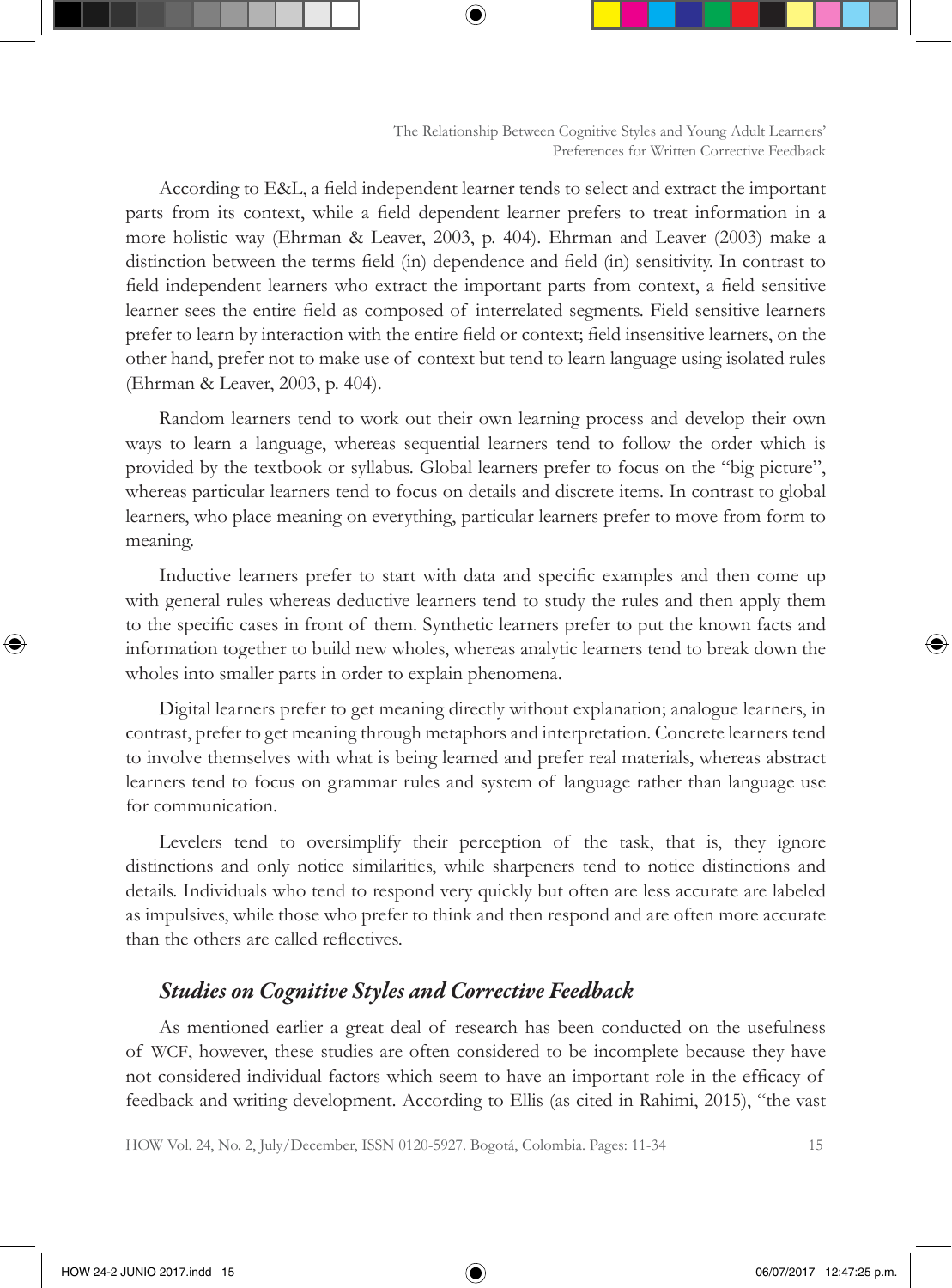According to E&L, a field independent learner tends to select and extract the important parts from its context, while a field dependent learner prefers to treat information in a more holistic way (Ehrman & Leaver, 2003, p. 404). Ehrman and Leaver (2003) make a distinction between the terms field (in) dependence and field (in) sensitivity. In contrast to field independent learners who extract the important parts from context, a field sensitive learner sees the entire field as composed of interrelated segments. Field sensitive learners prefer to learn by interaction with the entire field or context; field insensitive learners, on the other hand, prefer not to make use of context but tend to learn language using isolated rules (Ehrman & Leaver, 2003, p. 404).

Random learners tend to work out their own learning process and develop their own ways to learn a language, whereas sequential learners tend to follow the order which is provided by the textbook or syllabus. Global learners prefer to focus on the "big picture", whereas particular learners tend to focus on details and discrete items. In contrast to global learners, who place meaning on everything, particular learners prefer to move from form to meaning.

Inductive learners prefer to start with data and specific examples and then come up with general rules whereas deductive learners tend to study the rules and then apply them to the specific cases in front of them. Synthetic learners prefer to put the known facts and information together to build new wholes, whereas analytic learners tend to break down the wholes into smaller parts in order to explain phenomena.

Digital learners prefer to get meaning directly without explanation; analogue learners, in contrast, prefer to get meaning through metaphors and interpretation. Concrete learners tend to involve themselves with what is being learned and prefer real materials, whereas abstract learners tend to focus on grammar rules and system of language rather than language use for communication.

Levelers tend to oversimplify their perception of the task, that is, they ignore distinctions and only notice similarities, while sharpeners tend to notice distinctions and details. Individuals who tend to respond very quickly but often are less accurate are labeled as impulsives, while those who prefer to think and then respond and are often more accurate than the others are called reflectives.

### *Studies on Cognitive Styles and Corrective Feedback*

As mentioned earlier a great deal of research has been conducted on the usefulness of WCF, however, these studies are often considered to be incomplete because they have not considered individual factors which seem to have an important role in the efficacy of feedback and writing development. According to Ellis (as cited in Rahimi, 2015), "the vast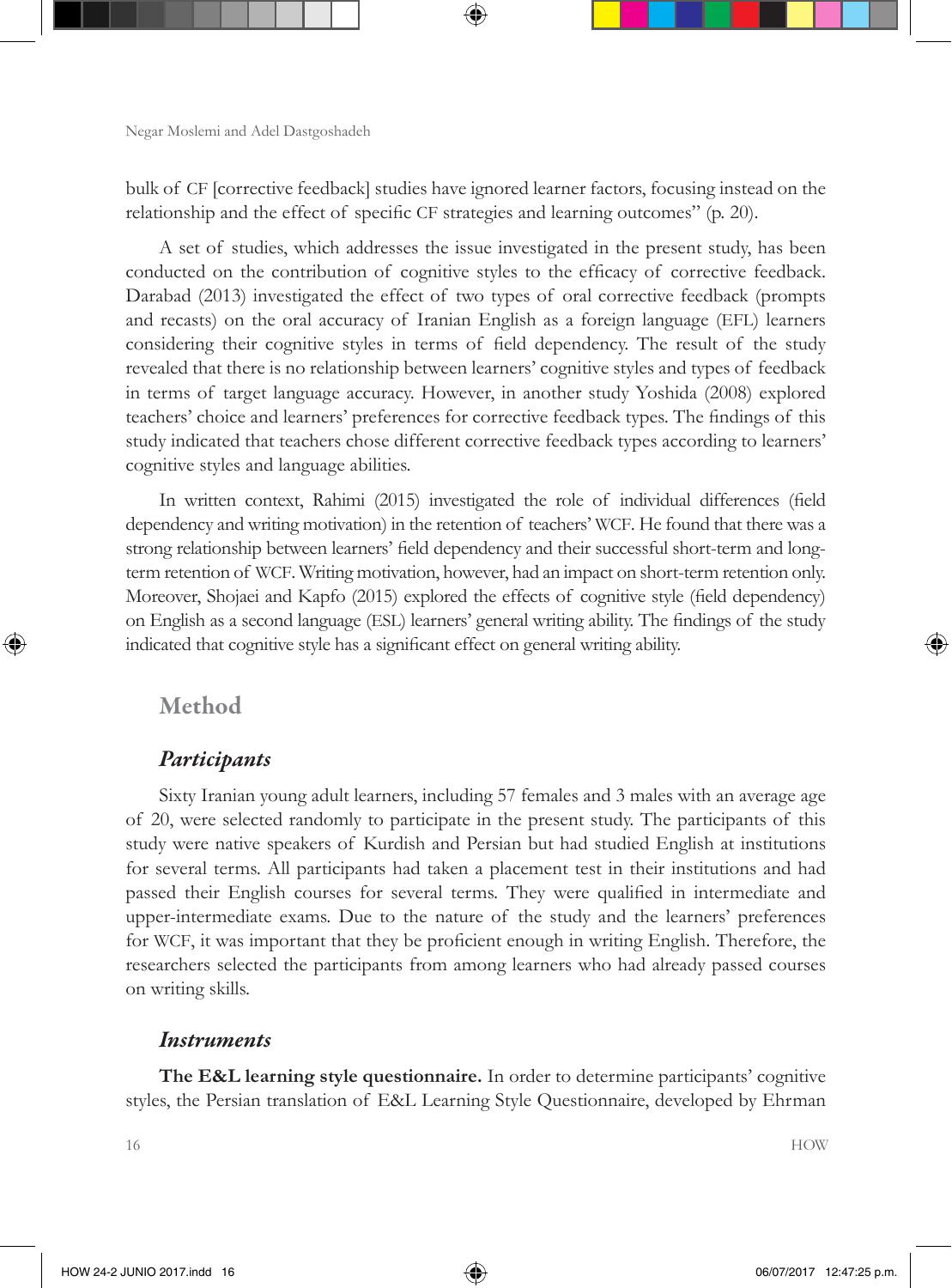bulk of CF [corrective feedback] studies have ignored learner factors, focusing instead on the relationship and the effect of specific CF strategies and learning outcomes" (p. 20).

A set of studies, which addresses the issue investigated in the present study, has been conducted on the contribution of cognitive styles to the efficacy of corrective feedback. Darabad (2013) investigated the effect of two types of oral corrective feedback (prompts and recasts) on the oral accuracy of Iranian English as a foreign language (EFL) learners considering their cognitive styles in terms of field dependency. The result of the study revealed that there is no relationship between learners' cognitive styles and types of feedback in terms of target language accuracy. However, in another study Yoshida (2008) explored teachers' choice and learners' preferences for corrective feedback types. The findings of this study indicated that teachers chose different corrective feedback types according to learners' cognitive styles and language abilities.

In written context, Rahimi (2015) investigated the role of individual differences (field dependency and writing motivation) in the retention of teachers' WCF. He found that there was a strong relationship between learners' field dependency and their successful short-term and longterm retention of WCF. Writing motivation, however, had an impact on short-term retention only. Moreover, Shojaei and Kapfo (2015) explored the effects of cognitive style (field dependency) on English as a second language (ESL) learners' general writing ability. The findings of the study indicated that cognitive style has a significant effect on general writing ability.

### Method

#### *Participants*

Sixty Iranian young adult learners, including 57 females and 3 males with an average age of 20, were selected randomly to participate in the present study. The participants of this study were native speakers of Kurdish and Persian but had studied English at institutions for several terms. All participants had taken a placement test in their institutions and had passed their English courses for several terms. They were qualified in intermediate and upper-intermediate exams. Due to the nature of the study and the learners' preferences for WCF, it was important that they be proficient enough in writing English. Therefore, the researchers selected the participants from among learners who had already passed courses on writing skills.

#### *Instruments*

**The E&L learning style questionnaire.** In order to determine participants' cognitive styles, the Persian translation of E&L Learning Style Questionnaire, developed by Ehrman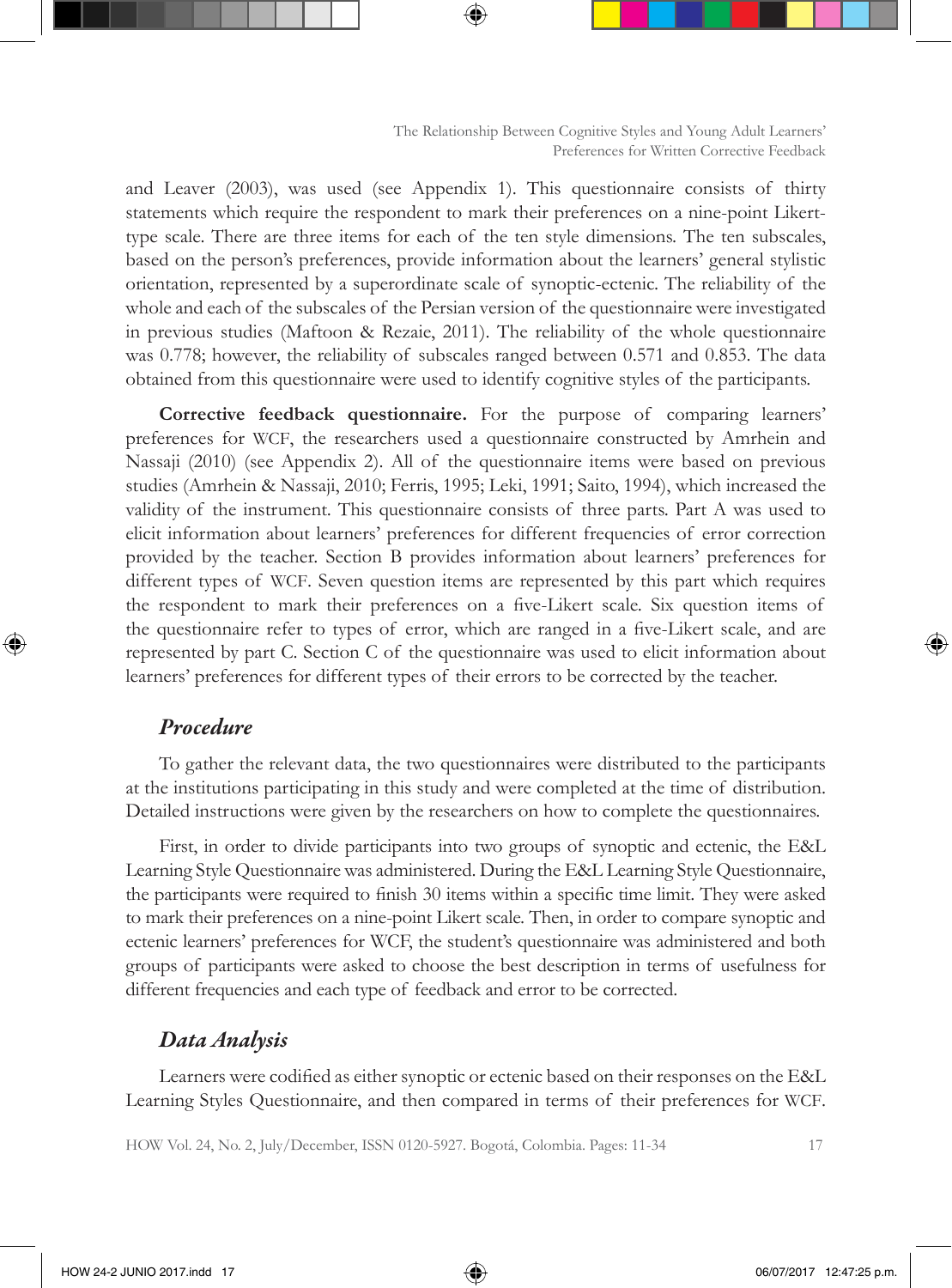and Leaver (2003), was used (see Appendix 1). This questionnaire consists of thirty statements which require the respondent to mark their preferences on a nine-point Likerttype scale. There are three items for each of the ten style dimensions. The ten subscales, based on the person's preferences, provide information about the learners' general stylistic orientation, represented by a superordinate scale of synoptic-ectenic. The reliability of the whole and each of the subscales of the Persian version of the questionnaire were investigated in previous studies (Maftoon & Rezaie, 2011). The reliability of the whole questionnaire was 0.778; however, the reliability of subscales ranged between 0.571 and 0.853. The data obtained from this questionnaire were used to identify cognitive styles of the participants.

**Corrective feedback questionnaire.** For the purpose of comparing learners' preferences for WCF, the researchers used a questionnaire constructed by Amrhein and Nassaji (2010) (see Appendix 2). All of the questionnaire items were based on previous studies (Amrhein & Nassaji, 2010; Ferris, 1995; Leki, 1991; Saito, 1994), which increased the validity of the instrument. This questionnaire consists of three parts. Part A was used to elicit information about learners' preferences for different frequencies of error correction provided by the teacher. Section B provides information about learners' preferences for different types of WCF. Seven question items are represented by this part which requires the respondent to mark their preferences on a five-Likert scale. Six question items of the questionnaire refer to types of error, which are ranged in a five-Likert scale, and are represented by part C. Section C of the questionnaire was used to elicit information about learners' preferences for different types of their errors to be corrected by the teacher.

#### *Procedure*

To gather the relevant data, the two questionnaires were distributed to the participants at the institutions participating in this study and were completed at the time of distribution. Detailed instructions were given by the researchers on how to complete the questionnaires.

First, in order to divide participants into two groups of synoptic and ectenic, the E&L Learning Style Questionnaire was administered. During the E&L Learning Style Questionnaire, the participants were required to finish 30 items within a specific time limit. They were asked to mark their preferences on a nine-point Likert scale. Then, in order to compare synoptic and ectenic learners' preferences for WCF, the student's questionnaire was administered and both groups of participants were asked to choose the best description in terms of usefulness for different frequencies and each type of feedback and error to be corrected.

#### *Data Analysis*

Learners were codified as either synoptic or ectenic based on their responses on the E&L Learning Styles Questionnaire, and then compared in terms of their preferences for WCF.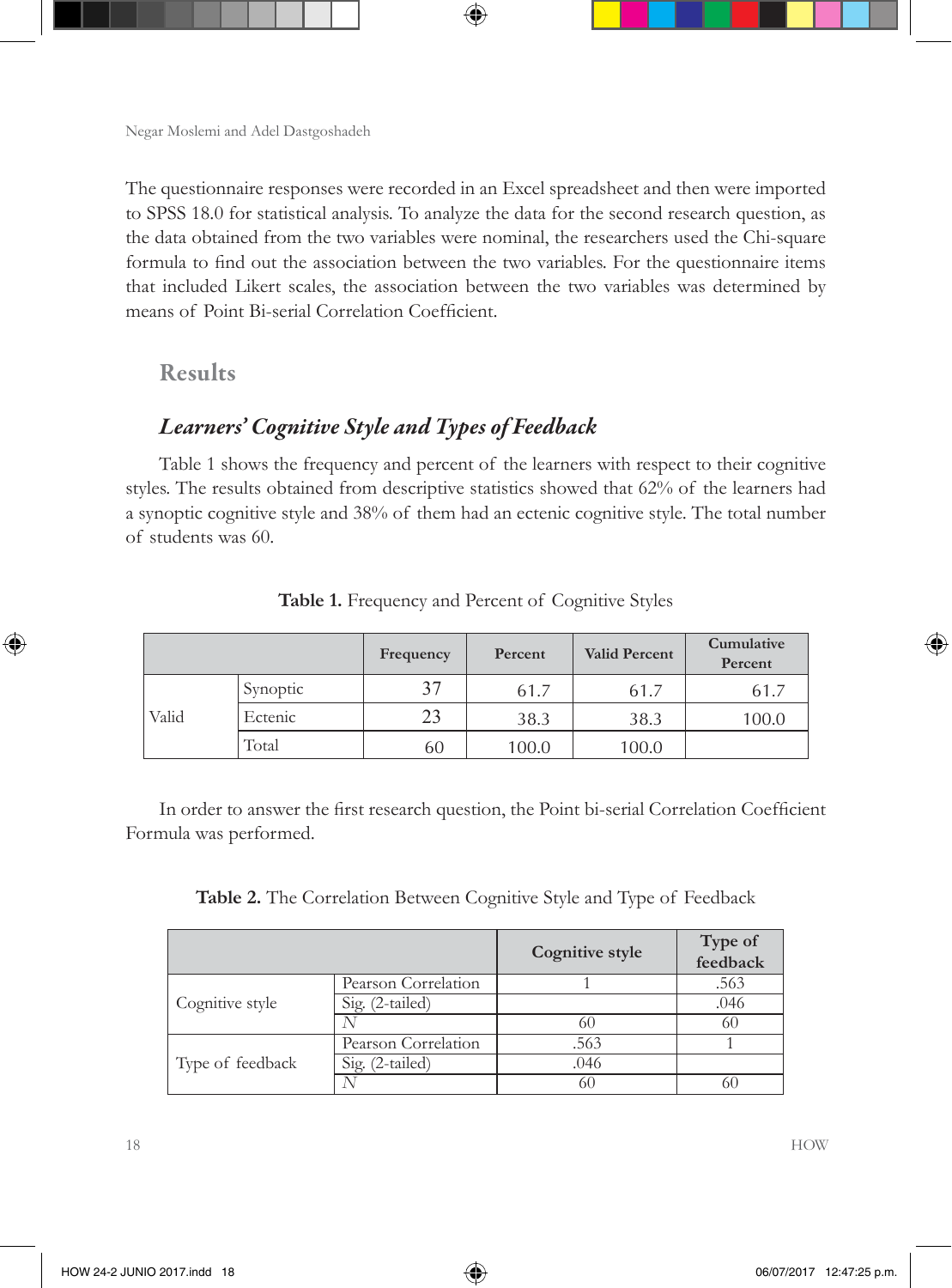The questionnaire responses were recorded in an Excel spreadsheet and then were imported to SPSS 18.0 for statistical analysis. To analyze the data for the second research question, as the data obtained from the two variables were nominal, the researchers used the Chi-square formula to find out the association between the two variables. For the questionnaire items that included Likert scales, the association between the two variables was determined by means of Point Bi-serial Correlation Coefficient.

### Results

## *Learners' Cognitive Style and Types of Feedback*

Table 1 shows the frequency and percent of the learners with respect to their cognitive styles. The results obtained from descriptive statistics showed that 62% of the learners had a synoptic cognitive style and 38% of them had an ectenic cognitive style. The total number of students was 60.

|       |          | Frequency | Percent | <b>Valid Percent</b> | Cumulative<br>Percent |
|-------|----------|-----------|---------|----------------------|-----------------------|
|       | Synoptic | 37        | 61.7    | 61.7                 | 61.7                  |
| Valid | Ectenic  | 23        | 38.3    | 38.3                 | 100.0                 |
|       | Total    | 60        | 100.0   | 100.0                |                       |

**Table 1.** Frequency and Percent of Cognitive Styles

In order to answer the first research question, the Point bi-serial Correlation Coefficient Formula was performed.

**Table 2.** The Correlation Between Cognitive Style and Type of Feedback

|                  |                     | Cognitive style | Type of<br>feedback |
|------------------|---------------------|-----------------|---------------------|
|                  | Pearson Correlation |                 | .563                |
| Cognitive style  | Sig. (2-tailed)     |                 | .046                |
|                  |                     | 60              | 60                  |
|                  | Pearson Correlation | .563            |                     |
| Type of feedback | Sig. (2-tailed)     | .046            |                     |
|                  |                     | 60              | 60                  |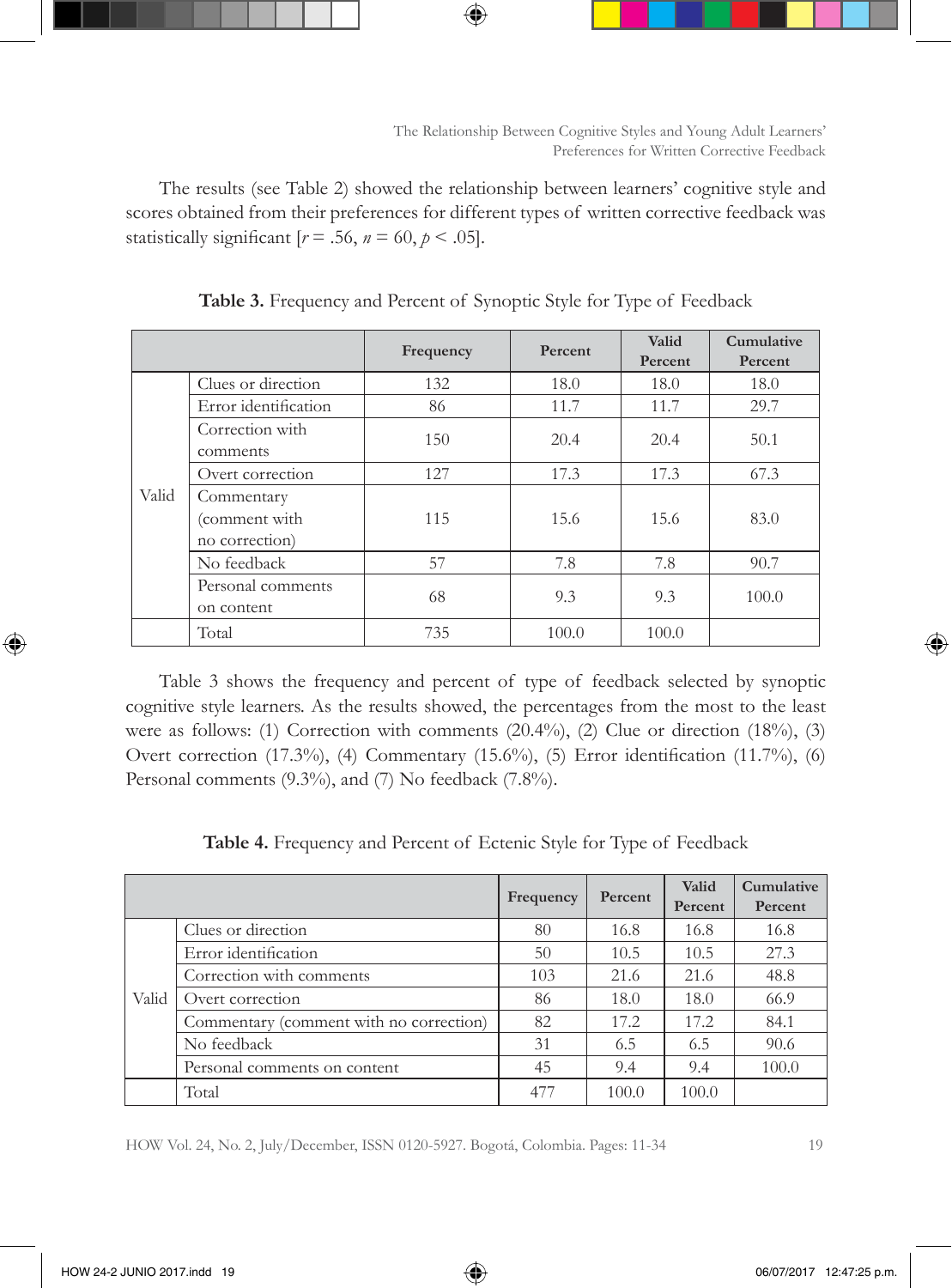The results (see Table 2) showed the relationship between learners' cognitive style and scores obtained from their preferences for different types of written corrective feedback was statistically significant  $[r = .56, n = 60, p < .05]$ .

|       |                                                      | Frequency | Percent | Valid<br>Percent | Cumulative<br>Percent |
|-------|------------------------------------------------------|-----------|---------|------------------|-----------------------|
|       | Clues or direction                                   | 132       | 18.0    | 18.0             | 18.0                  |
|       | Error identification                                 | 86        | 11.7    | 11.7             | 29.7                  |
|       | Correction with<br>comments                          | 150       | 20.4    | 20.4             | 50.1                  |
|       | Overt correction                                     | 127       | 17.3    | 17.3             | 67.3                  |
| Valid | Commentary<br>(comment with<br>115<br>no correction) |           | 15.6    | 15.6             | 83.0                  |
|       | No feedback                                          | 57        | 7.8     | 7.8              | 90.7                  |
|       | Personal comments<br>on content                      | 68        | 9.3     | 9.3              | 100.0                 |
|       | Total                                                | 735       | 100.0   | 100.0            |                       |

**Table 3.** Frequency and Percent of Synoptic Style for Type of Feedback

Table 3 shows the frequency and percent of type of feedback selected by synoptic cognitive style learners. As the results showed, the percentages from the most to the least were as follows: (1) Correction with comments  $(20.4\%)$ ,  $(2)$  Clue or direction  $(18\%)$ ,  $(3)$ Overt correction (17.3%), (4) Commentary (15.6%), (5) Error identification (11.7%), (6) Personal comments (9.3%), and (7) No feedback (7.8%).

**Table 4.** Frequency and Percent of Ectenic Style for Type of Feedback

|       |                                         | Frequency | Percent | Valid<br>Percent | <b>Cumulative</b><br>Percent |
|-------|-----------------------------------------|-----------|---------|------------------|------------------------------|
|       | Clues or direction                      | 80        | 16.8    | 16.8             | 16.8                         |
|       | Error identification                    | 50        | 10.5    | 10.5             | 27.3                         |
|       | Correction with comments                | 103       | 21.6    | 21.6             | 48.8                         |
| Valid | Overt correction                        | 86        | 18.0    | 18.0             | 66.9                         |
|       | Commentary (comment with no correction) | 82        | 17.2    | 17.2             | 84.1                         |
|       | No feedback                             | 31        | 6.5     | 6.5              | 90.6                         |
|       | Personal comments on content            | 45        | 9.4     | 9.4              | 100.0                        |
|       | Total                                   | 477       | 100.0   | 100.0            |                              |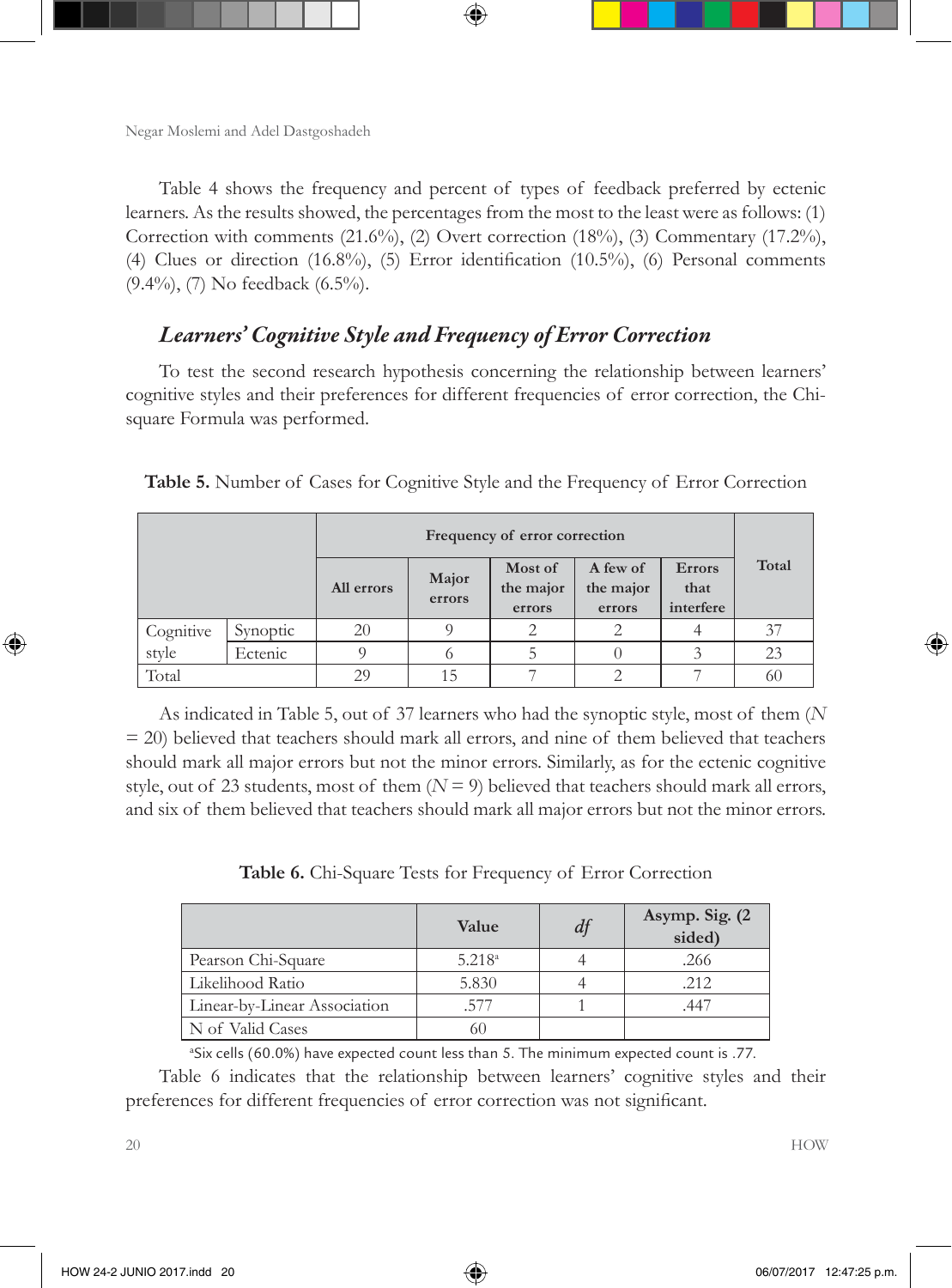Table 4 shows the frequency and percent of types of feedback preferred by ectenic learners. As the results showed, the percentages from the most to the least were as follows: (1) Correction with comments (21.6%), (2) Overt correction (18%), (3) Commentary (17.2%), (4) Clues or direction (16.8%), (5) Error identification (10.5%), (6) Personal comments (9.4%), (7) No feedback (6.5%).

### *Learners' Cognitive Style and Frequency of Error Correction*

To test the second research hypothesis concerning the relationship between learners' cognitive styles and their preferences for different frequencies of error correction, the Chisquare Formula was performed.

|           |          | All errors | Major<br>errors | Most of<br>the major<br>errors | A few of<br>the major<br>errors | <b>Errors</b><br>that<br>interfere | Total |  |
|-----------|----------|------------|-----------------|--------------------------------|---------------------------------|------------------------------------|-------|--|
| Cognitive | Synoptic | 20         |                 |                                |                                 |                                    | 37    |  |
| style     | Ectenic  |            |                 | C.                             |                                 |                                    | 23    |  |
| Total     |          | 29         | 15              |                                |                                 |                                    | 60    |  |

**Table 5.** Number of Cases for Cognitive Style and the Frequency of Error Correction

As indicated in Table 5, out of 37 learners who had the synoptic style, most of them (*N* = 20) believed that teachers should mark all errors, and nine of them believed that teachers should mark all major errors but not the minor errors. Similarly, as for the ectenic cognitive style, out of 23 students, most of them  $(N = 9)$  believed that teachers should mark all errors, and six of them believed that teachers should mark all major errors but not the minor errors.

**Table 6.** Chi-Square Tests for Frequency of Error Correction

|                              | Value       | df | Asymp. Sig. (2)<br>sided) |
|------------------------------|-------------|----|---------------------------|
| Pearson Chi-Square           | $5.218^{a}$ |    | .266                      |
| Likelihood Ratio             | 5.830       |    | .212                      |
| Linear-by-Linear Association | 577         |    |                           |
| N of Valid Cases             | 60          |    |                           |

a Six cells (60.0%) have expected count less than 5. The minimum expected count is .77.

Table 6 indicates that the relationship between learners' cognitive styles and their preferences for different frequencies of error correction was not significant.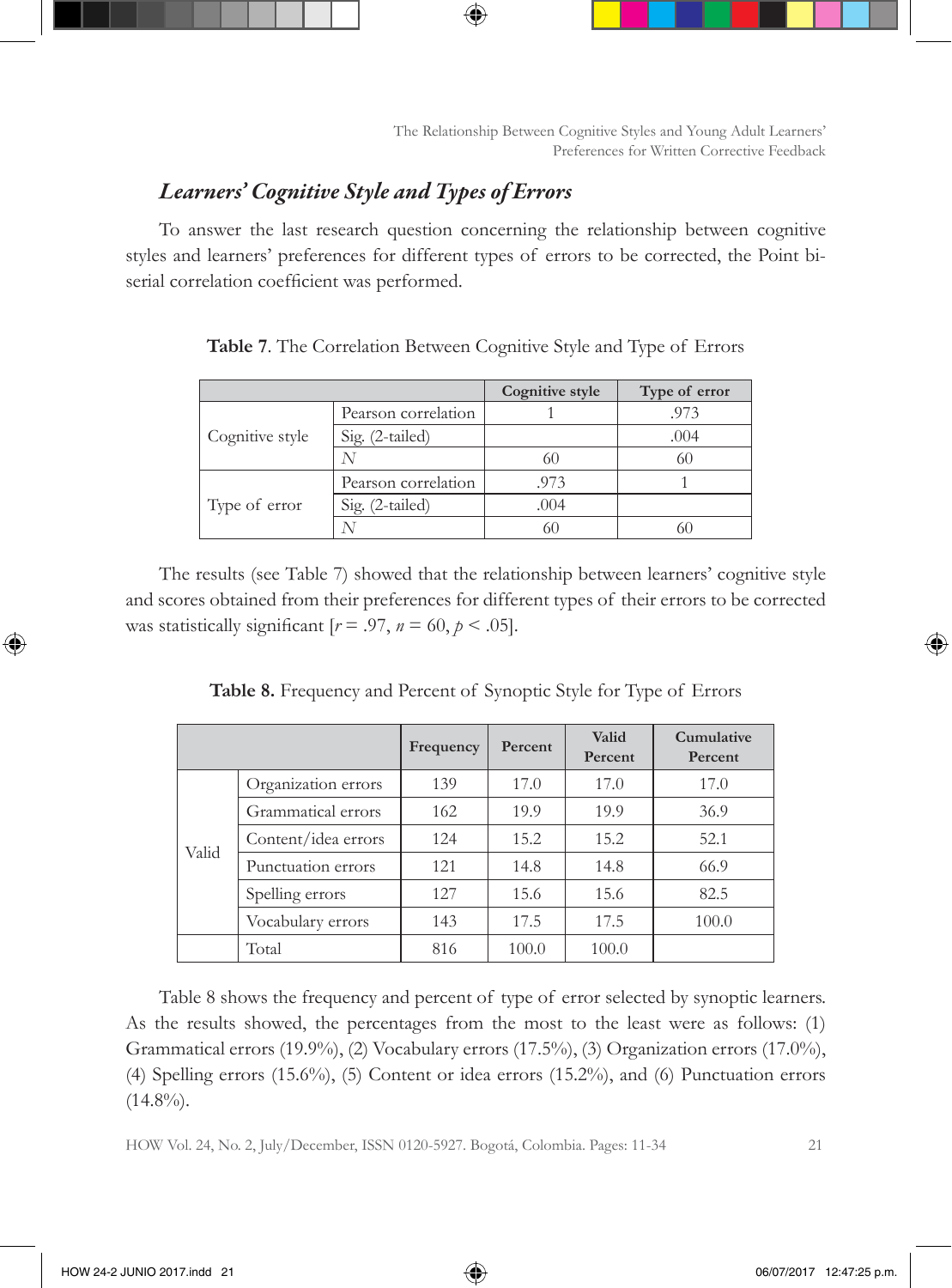## *Learners' Cognitive Style and Types of Errors*

To answer the last research question concerning the relationship between cognitive styles and learners' preferences for different types of errors to be corrected, the Point biserial correlation coefficient was performed.

|                 |                     | Cognitive style | Type of error |
|-----------------|---------------------|-----------------|---------------|
|                 | Pearson correlation |                 | .973          |
| Cognitive style | Sig. (2-tailed)     |                 | .004          |
|                 |                     | 60              | 60            |
|                 | Pearson correlation | .973            |               |
| Type of error   | Sig. (2-tailed)     | .004            |               |
|                 |                     |                 | ы             |

**Table 7**. The Correlation Between Cognitive Style and Type of Errors

The results (see Table 7) showed that the relationship between learners' cognitive style and scores obtained from their preferences for different types of their errors to be corrected was statistically significant  $[r = .97, n = 60, p < .05]$ .

|       |                     | Frequency | Percent | Valid<br>Percent | <b>Cumulative</b><br>Percent |
|-------|---------------------|-----------|---------|------------------|------------------------------|
|       | Organization errors | 139       | 17.0    | 17.0             | 17.0                         |
|       | Grammatical errors  | 162       | 19.9    | 19.9             | 36.9                         |
|       | Content/idea errors | 124       | 15.2    | 15.2             | 52.1                         |
| Valid | Punctuation errors  | 121       | 14.8    | 14.8             | 66.9                         |
|       | Spelling errors     | 127       | 15.6    | 15.6             | 82.5                         |
|       | Vocabulary errors   | 143       | 17.5    | 17.5             | 100.0                        |
|       | Total               | 816       | 100.0   | 100.0            |                              |

**Table 8.** Frequency and Percent of Synoptic Style for Type of Errors

Table 8 shows the frequency and percent of type of error selected by synoptic learners. As the results showed, the percentages from the most to the least were as follows: (1) Grammatical errors (19.9%), (2) Vocabulary errors (17.5%), (3) Organization errors (17.0%), (4) Spelling errors (15.6%), (5) Content or idea errors (15.2%), and (6) Punctuation errors  $(14.8\%)$ .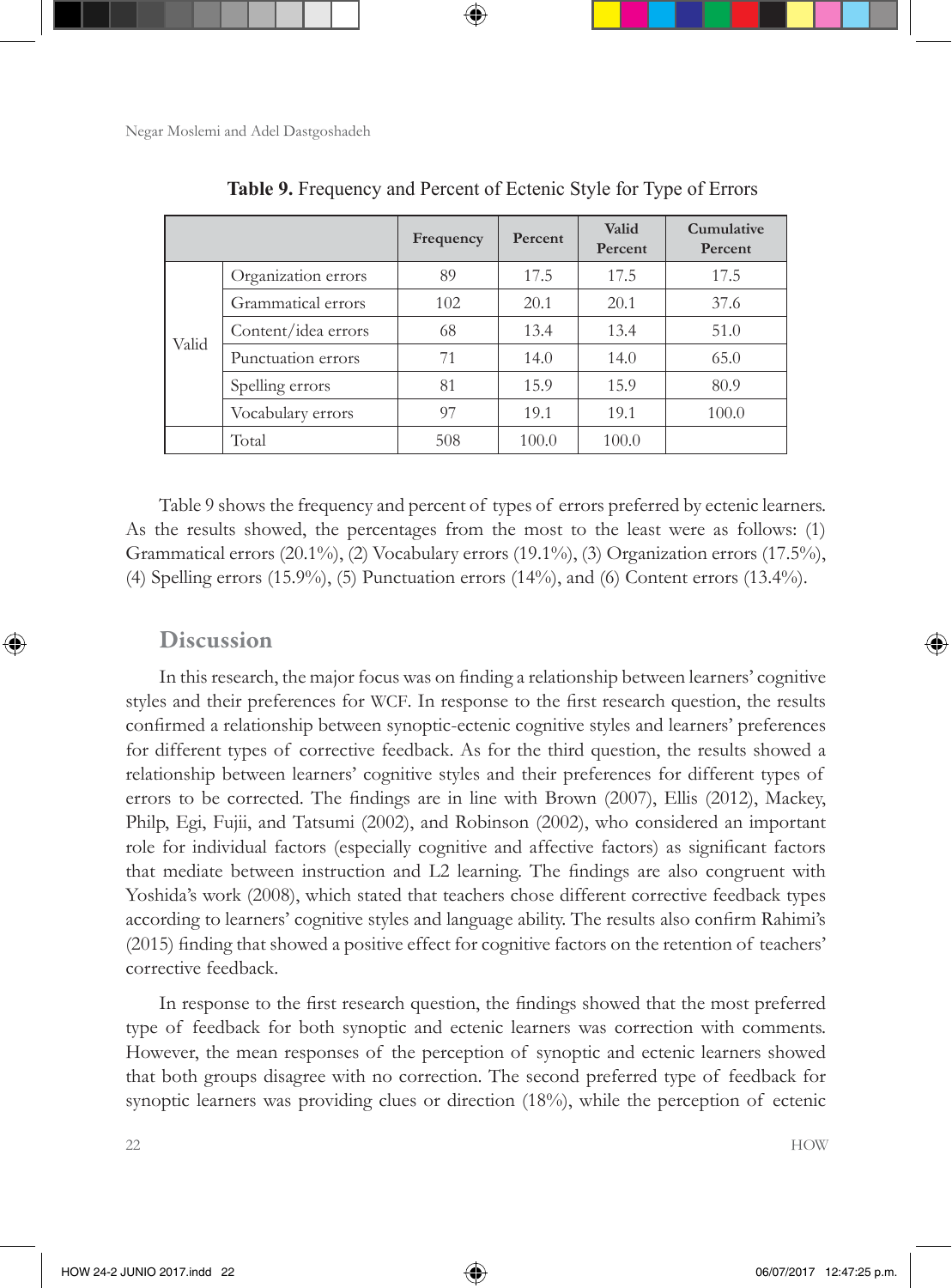|       |                     | Frequency | Percent | Valid<br>Percent | Cumulative<br>Percent |
|-------|---------------------|-----------|---------|------------------|-----------------------|
|       | Organization errors | 89        | 17.5    | 17.5             | 17.5                  |
|       | Grammatical errors  | 102       | 20.1    | 20.1             | 37.6                  |
| Valid | Content/idea errors | 68        | 13.4    | 13.4             | 51.0                  |
|       | Punctuation errors  | 71        | 14.0    | 14.0             | 65.0                  |
|       | Spelling errors     | 81        | 15.9    | 15.9             | 80.9                  |
|       | Vocabulary errors   | 97        | 19.1    | 19.1             | 100.0                 |
|       | Total               | 508       | 100.0   | 100.0            |                       |

**Table 9.** Frequency and Percent of Ectenic Style for Type of Errors

Table 9 shows the frequency and percent of types of errors preferred by ectenic learners. As the results showed, the percentages from the most to the least were as follows: (1) Grammatical errors (20.1%), (2) Vocabulary errors (19.1%), (3) Organization errors (17.5%), (4) Spelling errors (15.9%), (5) Punctuation errors (14%), and (6) Content errors (13.4%).

#### Discussion

In this research, the major focus was on finding a relationship between learners' cognitive styles and their preferences for WCF. In response to the first research question, the results confirmed a relationship between synoptic-ectenic cognitive styles and learners' preferences for different types of corrective feedback. As for the third question, the results showed a relationship between learners' cognitive styles and their preferences for different types of errors to be corrected. The findings are in line with Brown (2007), Ellis (2012), Mackey, Philp, Egi, Fujii, and Tatsumi (2002), and Robinson (2002), who considered an important role for individual factors (especially cognitive and affective factors) as significant factors that mediate between instruction and L2 learning. The findings are also congruent with Yoshida's work (2008), which stated that teachers chose different corrective feedback types according to learners' cognitive styles and language ability. The results also confirm Rahimi's (2015) finding that showed a positive effect for cognitive factors on the retention of teachers' corrective feedback.

In response to the first research question, the findings showed that the most preferred type of feedback for both synoptic and ectenic learners was correction with comments. However, the mean responses of the perception of synoptic and ectenic learners showed that both groups disagree with no correction. The second preferred type of feedback for synoptic learners was providing clues or direction (18%), while the perception of ectenic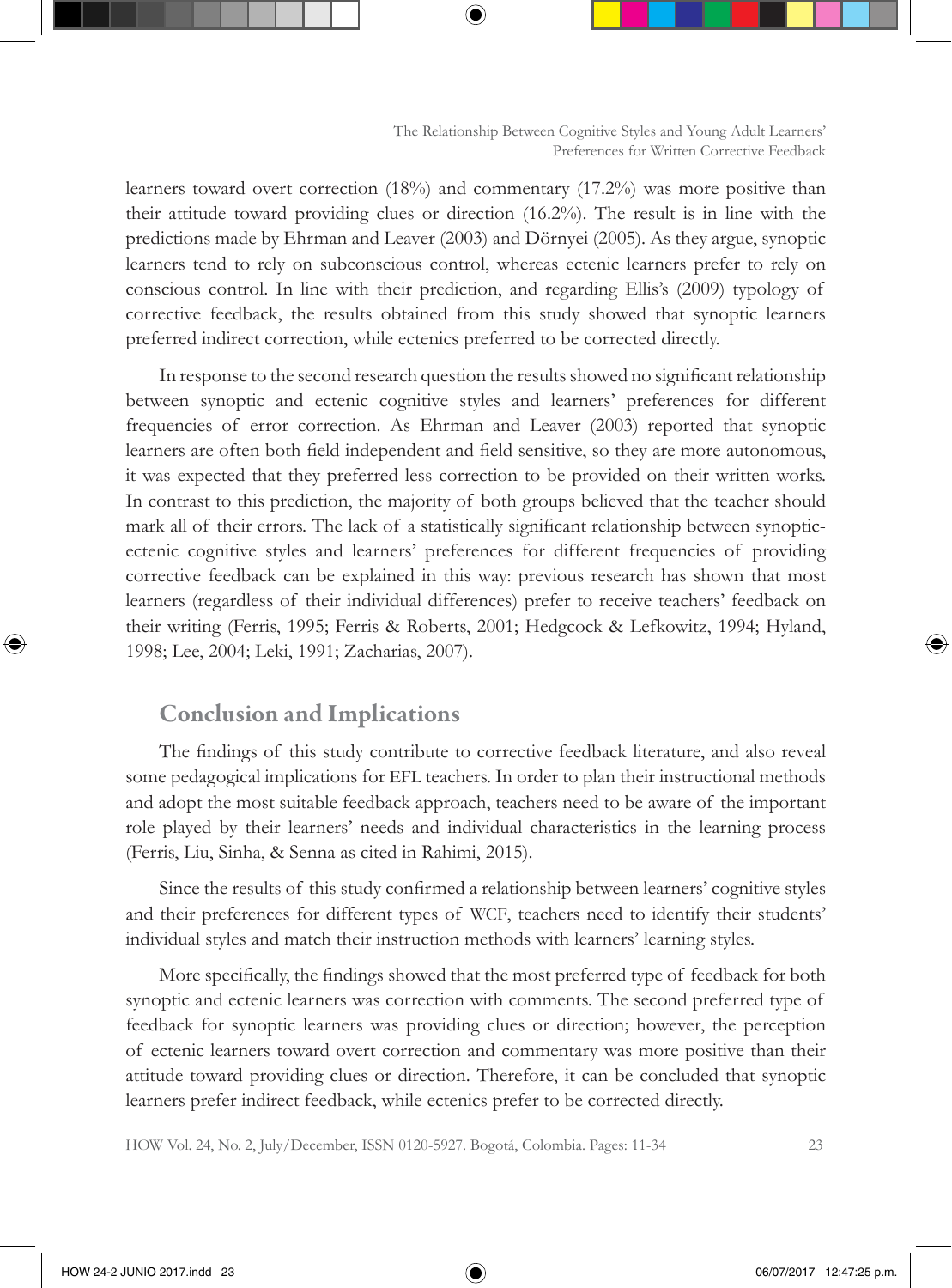learners toward overt correction (18%) and commentary (17.2%) was more positive than their attitude toward providing clues or direction (16.2%). The result is in line with the predictions made by Ehrman and Leaver (2003) and Dörnyei (2005). As they argue, synoptic learners tend to rely on subconscious control, whereas ectenic learners prefer to rely on conscious control. In line with their prediction, and regarding Ellis's (2009) typology of corrective feedback, the results obtained from this study showed that synoptic learners preferred indirect correction, while ectenics preferred to be corrected directly.

In response to the second research question the results showed no significant relationship between synoptic and ectenic cognitive styles and learners' preferences for different frequencies of error correction. As Ehrman and Leaver (2003) reported that synoptic learners are often both field independent and field sensitive, so they are more autonomous, it was expected that they preferred less correction to be provided on their written works. In contrast to this prediction, the majority of both groups believed that the teacher should mark all of their errors. The lack of a statistically significant relationship between synopticectenic cognitive styles and learners' preferences for different frequencies of providing corrective feedback can be explained in this way: previous research has shown that most learners (regardless of their individual differences) prefer to receive teachers' feedback on their writing (Ferris, 1995; Ferris & Roberts, 2001; Hedgcock & Lefkowitz, 1994; Hyland, 1998; Lee, 2004; Leki, 1991; Zacharias, 2007).

### Conclusion and Implications

The findings of this study contribute to corrective feedback literature, and also reveal some pedagogical implications for EFL teachers. In order to plan their instructional methods and adopt the most suitable feedback approach, teachers need to be aware of the important role played by their learners' needs and individual characteristics in the learning process (Ferris, Liu, Sinha, & Senna as cited in Rahimi, 2015).

Since the results of this study confirmed a relationship between learners' cognitive styles and their preferences for different types of WCF, teachers need to identify their students' individual styles and match their instruction methods with learners' learning styles.

More specifically, the findings showed that the most preferred type of feedback for both synoptic and ectenic learners was correction with comments. The second preferred type of feedback for synoptic learners was providing clues or direction; however, the perception of ectenic learners toward overt correction and commentary was more positive than their attitude toward providing clues or direction. Therefore, it can be concluded that synoptic learners prefer indirect feedback, while ectenics prefer to be corrected directly.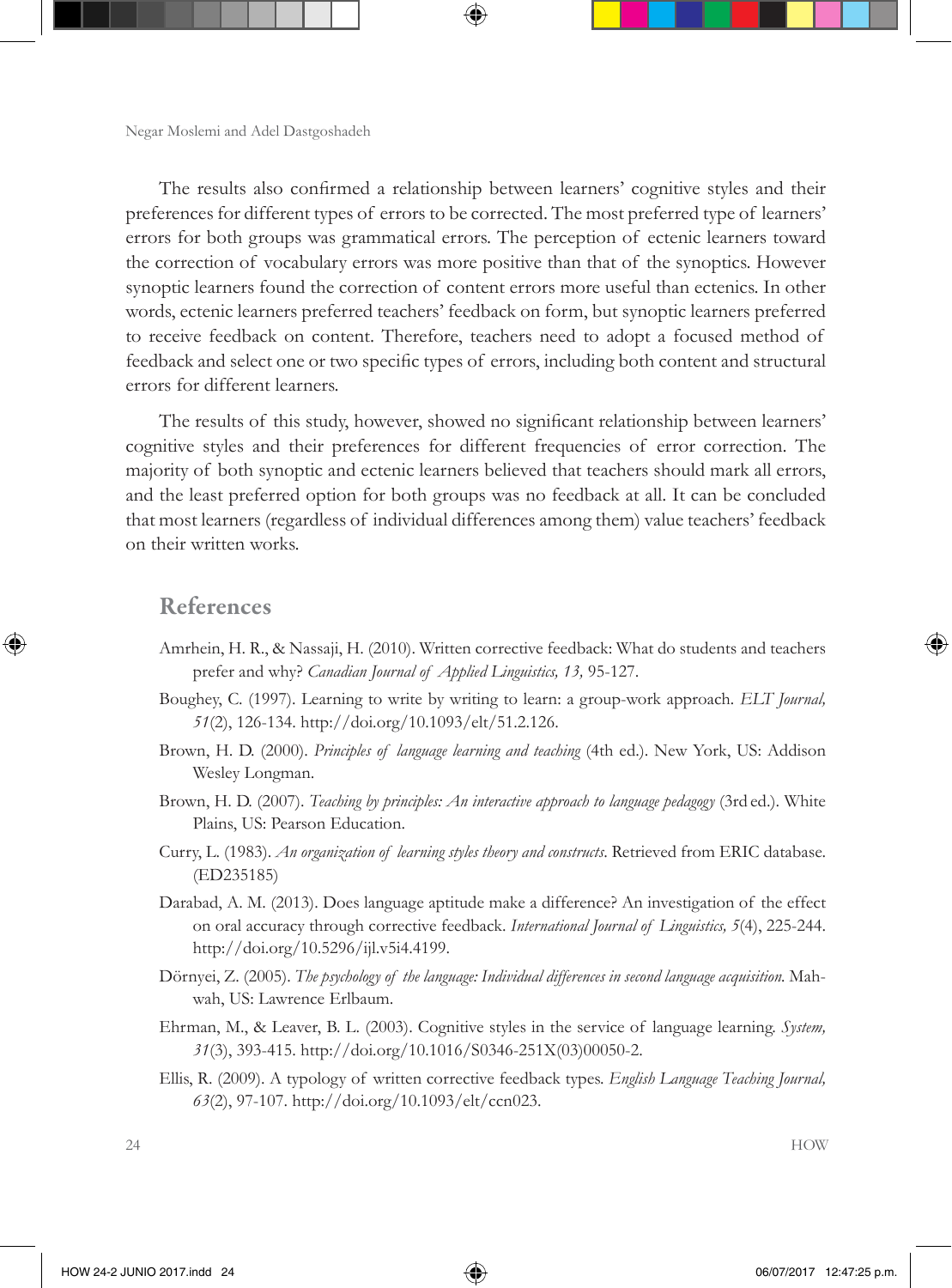The results also confirmed a relationship between learners' cognitive styles and their preferences for different types of errors to be corrected. The most preferred type of learners' errors for both groups was grammatical errors. The perception of ectenic learners toward the correction of vocabulary errors was more positive than that of the synoptics. However synoptic learners found the correction of content errors more useful than ectenics. In other words, ectenic learners preferred teachers' feedback on form, but synoptic learners preferred to receive feedback on content. Therefore, teachers need to adopt a focused method of feedback and select one or two specific types of errors, including both content and structural errors for different learners.

The results of this study, however, showed no significant relationship between learners' cognitive styles and their preferences for different frequencies of error correction. The majority of both synoptic and ectenic learners believed that teachers should mark all errors, and the least preferred option for both groups was no feedback at all. It can be concluded that most learners (regardless of individual differences among them) value teachers' feedback on their written works.

### References

- Amrhein, H. R., & Nassaji, H. (2010). Written corrective feedback: What do students and teachers prefer and why? *Canadian Journal of Applied Linguistics, 13,* 95-127.
- Boughey, C. (1997). Learning to write by writing to learn: a group-work approach*. ELT Journal, 51*(2), 126-134. http://doi.org/10.1093/elt/51.2.126.
- Brown, H. D. (2000). *Principles of language learning and teaching* (4th ed.). New York, US: Addison Wesley Longman.
- Brown, H. D. (2007). *Teaching by principles: An interactive approach to language pedagogy* (3rd ed.). White Plains, US: Pearson Education.
- Curry, L. (1983). *An organization of learning styles theory and constructs*. Retrieved from ERIC database. (ED235185)
- Darabad, A. M. (2013). Does language aptitude make a difference? An investigation of the effect on oral accuracy through corrective feedback. *International Journal of Linguistics, 5*(4), 225-244. http://doi.org/10.5296/ijl.v5i4.4199.
- Dörnyei, Z. (2005). *The psychology of the language: Individual differences in second language acquisition.* Mahwah, US: Lawrence Erlbaum.
- Ehrman, M., & Leaver, B. L. (2003). Cognitive styles in the service of language learning. *System, 31*(3), 393-415. http://doi.org/10.1016/S0346-251X(03)00050-2.
- Ellis, R. (2009). A typology of written corrective feedback types. *English Language Teaching Journal, 63*(2), 97-107. http://doi.org/10.1093/elt/ccn023.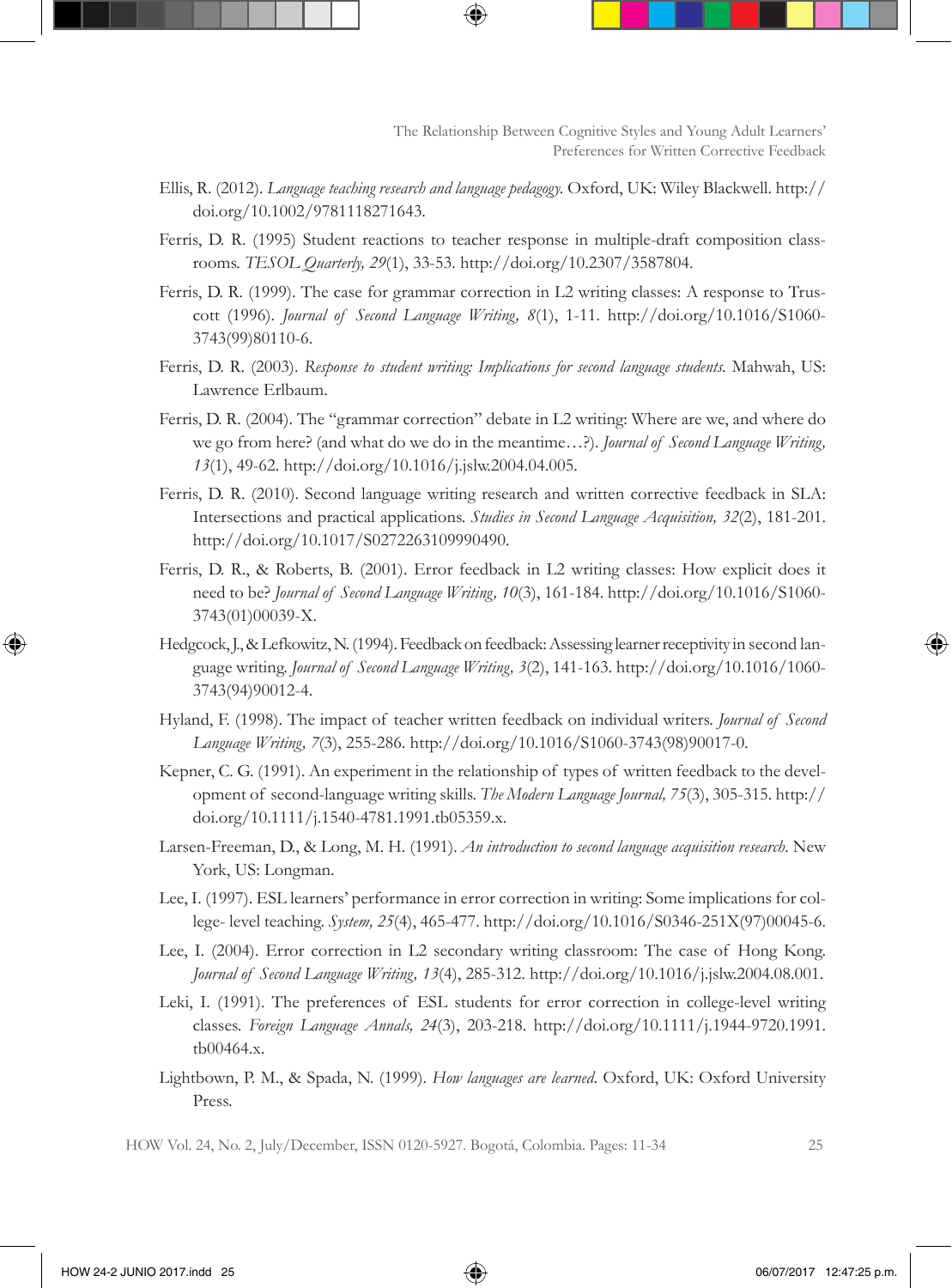- Ellis, R. (2012). *Language teaching research and language pedagogy.* Oxford, UK: Wiley Blackwell. http:// doi.org/10.1002/9781118271643.
- Ferris, D. R. (1995) Student reactions to teacher response in multiple-draft composition classrooms. *TESOL Quarterly, 29*(1), 33-53. http://doi.org/10.2307/3587804.
- Ferris, D. R. (1999). The case for grammar correction in L2 writing classes: A response to Truscott (1996). *Journal of Second Language Writing, 8*(1), 1-11. http://doi.org/10.1016/S1060- 3743(99)80110-6.
- Ferris, D. R. (2003). *Response to student writing: Implications for second language students.* Mahwah, US: Lawrence Erlbaum.
- Ferris, D. R. (2004). The "grammar correction" debate in L2 writing: Where are we, and where do we go from here? (and what do we do in the meantime…?). *Journal of Second Language Writing, 13*(1), 49-62. http://doi.org/10.1016/j.jslw.2004.04.005.
- Ferris, D. R. (2010). Second language writing research and written corrective feedback in SLA: Intersections and practical applications. *Studies in Second Language Acquisition, 32*(2), 181-201. http://doi.org/10.1017/S0272263109990490.
- Ferris, D. R., & Roberts, B. (2001). Error feedback in L2 writing classes: How explicit does it need to be? *Journal of Second Language Writing, 10*(3), 161-184. http://doi.org/10.1016/S1060- 3743(01)00039-X.
- Hedgcock, J., & Lefkowitz, N. (1994). Feedback on feedback: Assessing learner receptivity in second language writing. *Journal of Second Language Writing, 3*(2), 141-163. http://doi.org/10.1016/1060- 3743(94)90012-4.
- Hyland, F. (1998). The impact of teacher written feedback on individual writers. *Journal of Second Language Writing, 7*(3), 255-286. http://doi.org/10.1016/S1060-3743(98)90017-0.
- Kepner, C. G. (1991). An experiment in the relationship of types of written feedback to the development of second-language writing skills. *The Modern Language Journal, 75*(3), 305-315. http:// doi.org/10.1111/j.1540-4781.1991.tb05359.x.
- Larsen-Freeman, D., & Long, M. H. (1991). *An introduction to second language acquisition research*. New York, US: Longman.
- Lee, I. (1997). ESL learners' performance in error correction in writing: Some implications for college- level teaching. *System, 25*(4), 465-477. http://doi.org/10.1016/S0346-251X(97)00045-6.
- Lee, I. (2004). Error correction in L2 secondary writing classroom: The case of Hong Kong. *Journal of Second Language Writing, 13*(4), 285-312. http://doi.org/10.1016/j.jslw.2004.08.001.
- Leki, I. (1991). The preferences of ESL students for error correction in college-level writing classes. *Foreign Language Annals, 24*(3), 203-218. http://doi.org/10.1111/j.1944-9720.1991. tb00464.x.
- Lightbown, P. M., & Spada, N. (1999). *How languages are learned*. Oxford, UK: Oxford University Press.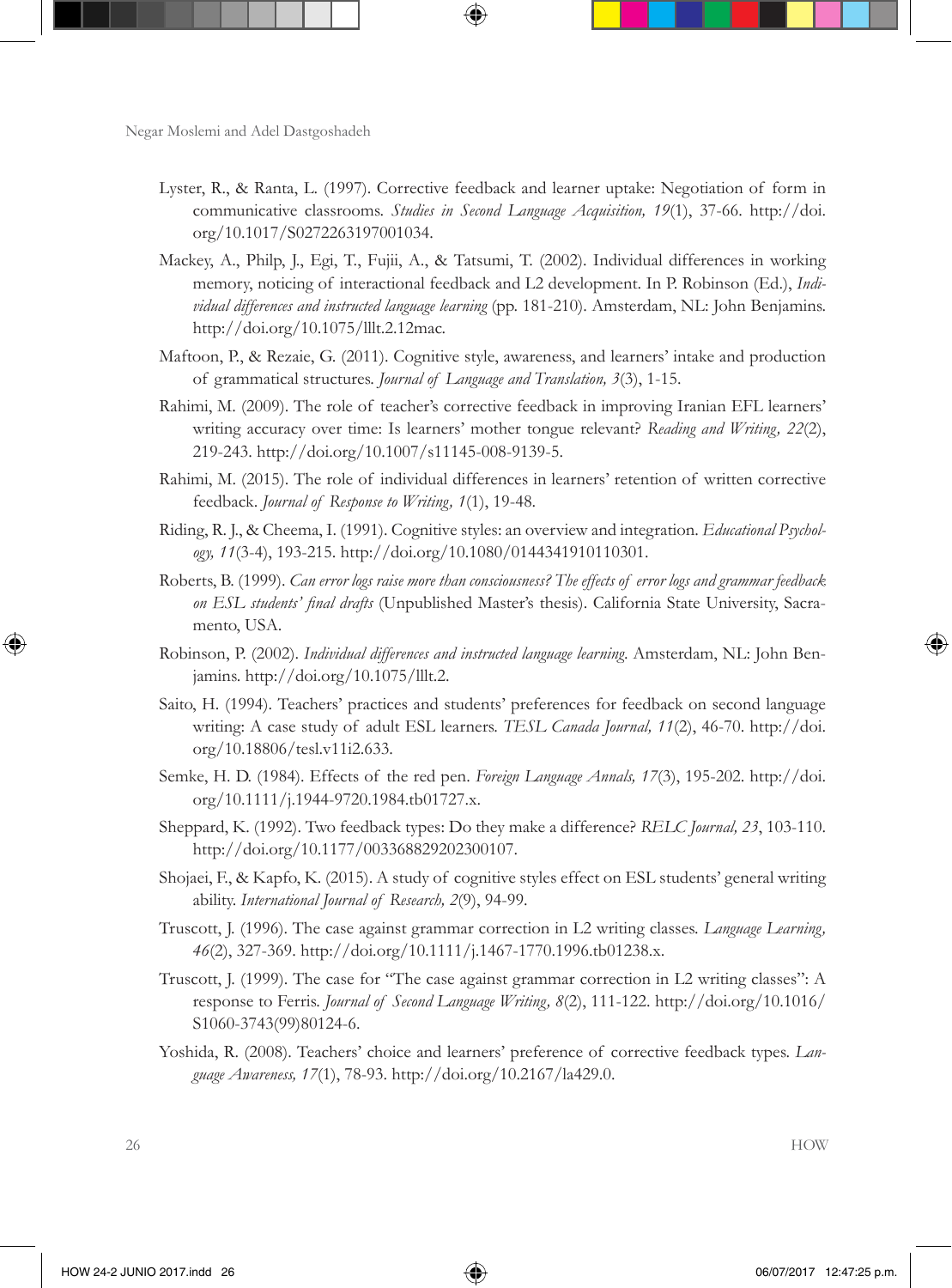- Lyster, R., & Ranta, L. (1997). Corrective feedback and learner uptake: Negotiation of form in communicative classrooms. *Studies in Second Language Acquisition, 19*(1), 37-66. http://doi. org/10.1017/S0272263197001034.
- Mackey, A., Philp, J., Egi, T., Fujii, A., & Tatsumi, T. (2002). Individual differences in working memory, noticing of interactional feedback and L2 development. In P. Robinson (Ed.), *Individual differences and instructed language learning* (pp. 181-210). Amsterdam, NL: John Benjamins. http://doi.org/10.1075/lllt.2.12mac.
- Maftoon, P., & Rezaie, G. (2011). Cognitive style, awareness, and learners' intake and production of grammatical structures. *Journal of Language and Translation, 3*(3), 1-15.
- Rahimi, M. (2009). The role of teacher's corrective feedback in improving Iranian EFL learners' writing accuracy over time: Is learners' mother tongue relevant? *Reading and Writing, 22*(2), 219-243. http://doi.org/10.1007/s11145-008-9139-5.
- Rahimi, M. (2015). The role of individual differences in learners' retention of written corrective feedback. *Journal of Response to Writing, 1*(1), 19-48.
- Riding, R. J., & Cheema, I. (1991). Cognitive styles: an overview and integration. *Educational Psychology, 11*(3-4), 193-215. http://doi.org/10.1080/0144341910110301.
- Roberts, B. (1999). *Can error logs raise more than consciousness? The effects of error logs and grammar feedback on ESL students' final drafts* (Unpublished Master's thesis). California State University, Sacramento, USA.
- Robinson, P. (2002). *Individual differences and instructed language learning*. Amsterdam, NL: John Benjamins. http://doi.org/10.1075/lllt.2.
- Saito, H. (1994). Teachers' practices and students' preferences for feedback on second language writing: A case study of adult ESL learners. *TESL Canada Journal, 11*(2), 46-70. http://doi. org/10.18806/tesl.v11i2.633.
- Semke, H. D. (1984). Effects of the red pen. *Foreign Language Annals, 17*(3), 195-202. http://doi. org/10.1111/j.1944-9720.1984.tb01727.x.
- Sheppard, K. (1992). Two feedback types: Do they make a difference? *RELC Journal, 23*, 103-110. http://doi.org/10.1177/003368829202300107.
- Shojaei, F., & Kapfo, K. (2015). A study of cognitive styles effect on ESL students' general writing ability. *International Journal of Research, 2*(9), 94-99.
- Truscott, J. (1996). The case against grammar correction in L2 writing classes. *Language Learning, 46*(2), 327-369. http://doi.org/10.1111/j.1467-1770.1996.tb01238.x.
- Truscott, J. (1999). The case for "The case against grammar correction in L2 writing classes": A response to Ferris. *Journal of Second Language Writing, 8*(2), 111-122. http://doi.org/10.1016/ S1060-3743(99)80124-6.
- Yoshida, R. (2008). Teachers' choice and learners' preference of corrective feedback types. *Language Awareness, 17*(1), 78-93. http://doi.org/10.2167/la429.0.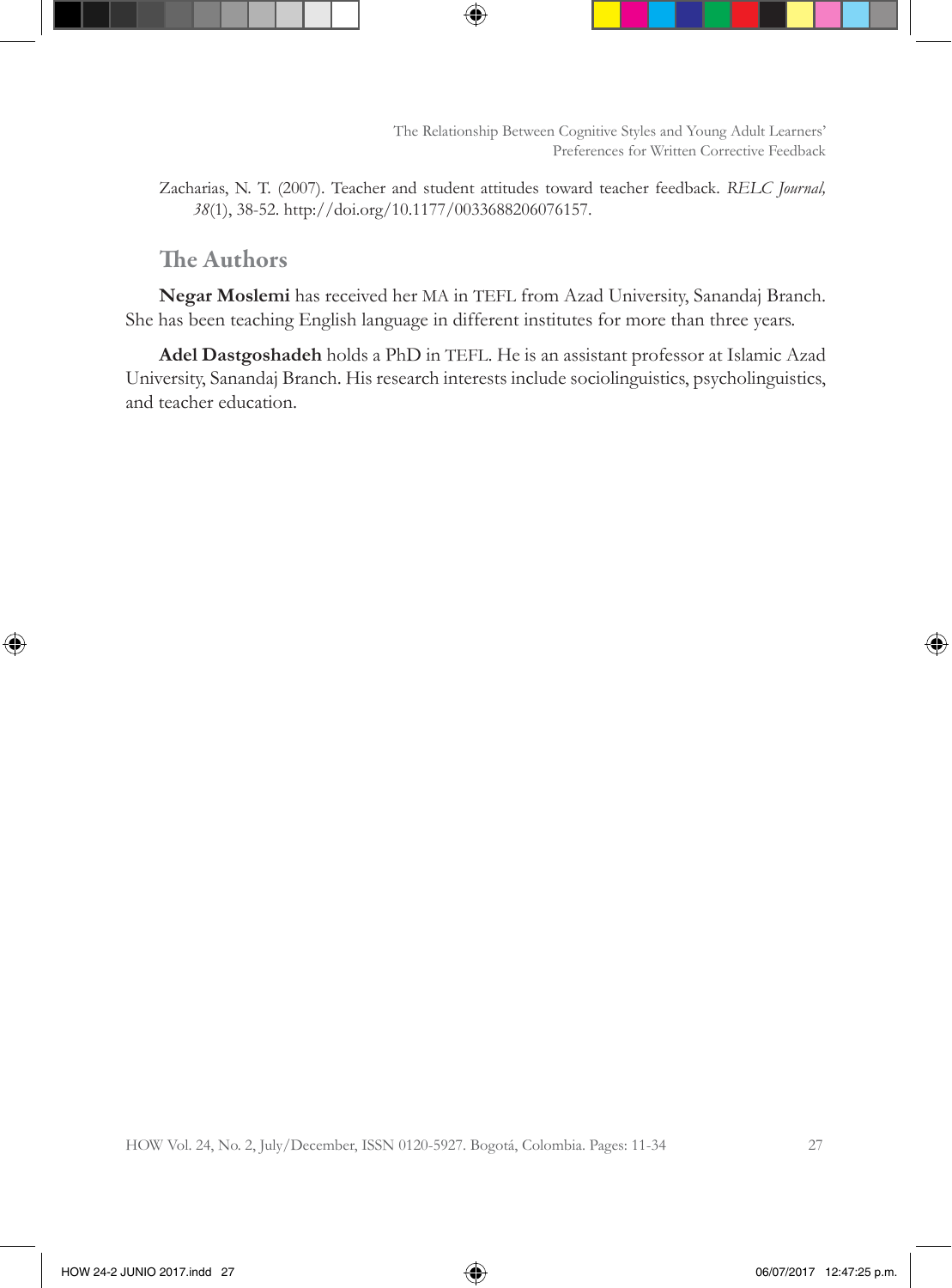Zacharias, N. T. (2007). Teacher and student attitudes toward teacher feedback. *RELC Journal, 38*(1), 38-52. http://doi.org/10.1177/0033688206076157.

### The Authors

**Negar Moslemi** has received her MA in TEFL from Azad University, Sanandaj Branch. She has been teaching English language in different institutes for more than three years.

**Adel Dastgoshadeh** holds a PhD in TEFL. He is an assistant professor at Islamic Azad University, Sanandaj Branch. His research interests include sociolinguistics, psycholinguistics, and teacher education.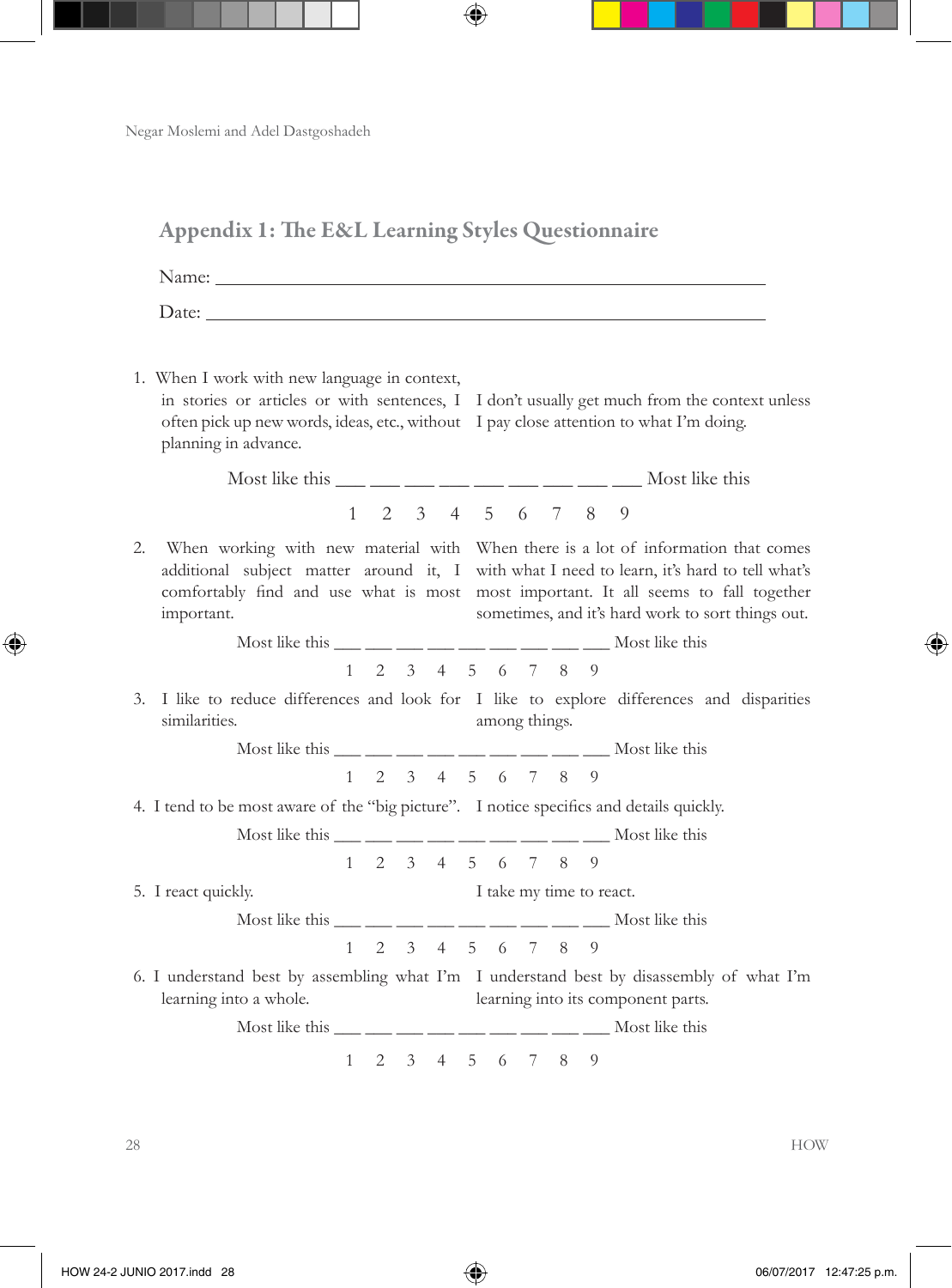|    | <b>Appendix 1: The E&amp;L Learning Styles Questionnaire</b>                                                                                                                                                                                                                                                                                                   |  |                                     |                          |  |                                                                                                                                                                                                                                                                                                                             |
|----|----------------------------------------------------------------------------------------------------------------------------------------------------------------------------------------------------------------------------------------------------------------------------------------------------------------------------------------------------------------|--|-------------------------------------|--------------------------|--|-----------------------------------------------------------------------------------------------------------------------------------------------------------------------------------------------------------------------------------------------------------------------------------------------------------------------------|
|    | Name: Name and the second contract of the second contract of the second contract of the second contract of the second contract of the second contract of the second contract of the second contract of the second contract of                                                                                                                                  |  |                                     |                          |  |                                                                                                                                                                                                                                                                                                                             |
|    | Date:                                                                                                                                                                                                                                                                                                                                                          |  |                                     |                          |  |                                                                                                                                                                                                                                                                                                                             |
|    | 1. When I work with new language in context,<br>often pick up new words, ideas, etc., without I pay close attention to what I'm doing.<br>planning in advance.                                                                                                                                                                                                 |  |                                     |                          |  | in stories or articles or with sentences, I I don't usually get much from the context unless                                                                                                                                                                                                                                |
|    |                                                                                                                                                                                                                                                                                                                                                                |  |                                     |                          |  | Most like this $\_\_$ $\_\_$ $\_\_$ $\_\_$ $\_\_$ $\_\_$ $\_\_$ $\_\_$ $\_\_$ $\_\_$ $\_\_$ Most like this                                                                                                                                                                                                                  |
|    |                                                                                                                                                                                                                                                                                                                                                                |  | $1 \t2 \t3 \t4 \t5 \t6 \t7 \t8 \t9$ |                          |  |                                                                                                                                                                                                                                                                                                                             |
| 2. | important.                                                                                                                                                                                                                                                                                                                                                     |  |                                     |                          |  | When working with new material with When there is a lot of information that comes<br>additional subject matter around it, I with what I need to learn, it's hard to tell what's<br>comfortably find and use what is most most important. It all seems to fall together<br>sometimes, and it's hard work to sort things out. |
|    | Most like this $\frac{1}{\sqrt{2}}$ $\frac{1}{\sqrt{2}}$ $\frac{1}{\sqrt{2}}$ $\frac{1}{\sqrt{2}}$ $\frac{1}{\sqrt{2}}$ $\frac{1}{\sqrt{2}}$ $\frac{1}{\sqrt{2}}$ $\frac{1}{\sqrt{2}}$ $\frac{1}{\sqrt{2}}$ $\frac{1}{\sqrt{2}}$ $\frac{1}{\sqrt{2}}$ $\frac{1}{\sqrt{2}}$ $\frac{1}{\sqrt{2}}$ $\frac{1}{\sqrt{2}}$ $\frac{1}{\sqrt{2}}$ $\frac{1}{\sqrt{2}}$ |  |                                     |                          |  |                                                                                                                                                                                                                                                                                                                             |
|    | similarities.                                                                                                                                                                                                                                                                                                                                                  |  |                                     | among things.            |  | $1 \t2 \t3 \t4 \t5 \t6 \t7 \t8 \t9$<br>3. I like to reduce differences and look for I like to explore differences and disparities                                                                                                                                                                                           |
|    | Most like this $\frac{1}{\frac{1}{2}}$ $\frac{1}{\frac{1}{2}}$ $\frac{1}{\frac{1}{2}}$ $\frac{1}{\frac{1}{2}}$ $\frac{1}{\frac{1}{2}}$ $\frac{1}{\frac{1}{2}}$ $\frac{1}{\frac{1}{2}}$ Most like this                                                                                                                                                          |  |                                     |                          |  |                                                                                                                                                                                                                                                                                                                             |
|    |                                                                                                                                                                                                                                                                                                                                                                |  | $1 \t2 \t3 \t4 \t5 \t6 \t7 \t8 \t9$ |                          |  |                                                                                                                                                                                                                                                                                                                             |
|    | 4. I tend to be most aware of the "big picture". I notice specifics and details quickly.                                                                                                                                                                                                                                                                       |  |                                     |                          |  |                                                                                                                                                                                                                                                                                                                             |
|    | Most like this $\frac{1}{\frac{1}{2}}$ $\frac{1}{\frac{1}{2}}$ $\frac{1}{\frac{1}{2}}$ $\frac{1}{\frac{1}{2}}$ $\frac{1}{\frac{1}{2}}$ $\frac{1}{\frac{1}{2}}$ $\frac{1}{\frac{1}{2}}$ $\frac{1}{\frac{1}{2}}$ $\frac{1}{\frac{1}{2}}$ $\frac{1}{\frac{1}{2}}$ $\frac{1}{\frac{1}{2}}$ $\frac{1}{\frac{1}{2}}$ $\frac{1}{\frac{1}{2}}$ $\frac{1}{\frac{1}{$    |  |                                     |                          |  |                                                                                                                                                                                                                                                                                                                             |
|    |                                                                                                                                                                                                                                                                                                                                                                |  | $1 \t2 \t3 \t4 \t5 \t6 \t7 \t8 \t9$ |                          |  |                                                                                                                                                                                                                                                                                                                             |
|    | 5. I react quickly.                                                                                                                                                                                                                                                                                                                                            |  |                                     | I take my time to react. |  |                                                                                                                                                                                                                                                                                                                             |
|    | Most like this ___ __ __ __ __ __ __ __ __ __ __ __ Most like this                                                                                                                                                                                                                                                                                             |  |                                     |                          |  |                                                                                                                                                                                                                                                                                                                             |
|    |                                                                                                                                                                                                                                                                                                                                                                |  | $1 \t2 \t3 \t4 \t5 \t6 \t7 \t8 \t9$ |                          |  |                                                                                                                                                                                                                                                                                                                             |
|    | learning into a whole.                                                                                                                                                                                                                                                                                                                                         |  |                                     |                          |  | 6. I understand best by assembling what I'm I understand best by disassembly of what I'm<br>learning into its component parts.                                                                                                                                                                                              |
|    | Most like this $\frac{1}{\frac{1}{2}}$ $\frac{1}{\frac{1}{2}}$ $\frac{1}{\frac{1}{2}}$ $\frac{1}{\frac{1}{2}}$ $\frac{1}{\frac{1}{2}}$ $\frac{1}{\frac{1}{2}}$ $\frac{1}{\frac{1}{2}}$ $\frac{1}{\frac{1}{2}}$ $\frac{1}{\frac{1}{2}}$ $\frac{1}{\frac{1}{2}}$ $\frac{1}{\frac{1}{2}}$ $\frac{1}{\frac{1}{2}}$ $\frac{1}{\frac{1}{2}}$ $\frac{1}{\frac{1}{$    |  |                                     |                          |  |                                                                                                                                                                                                                                                                                                                             |
|    |                                                                                                                                                                                                                                                                                                                                                                |  | $1 \t2 \t3 \t4 \t5 \t6 \t7 \t8 \t9$ |                          |  |                                                                                                                                                                                                                                                                                                                             |
|    |                                                                                                                                                                                                                                                                                                                                                                |  |                                     |                          |  |                                                                                                                                                                                                                                                                                                                             |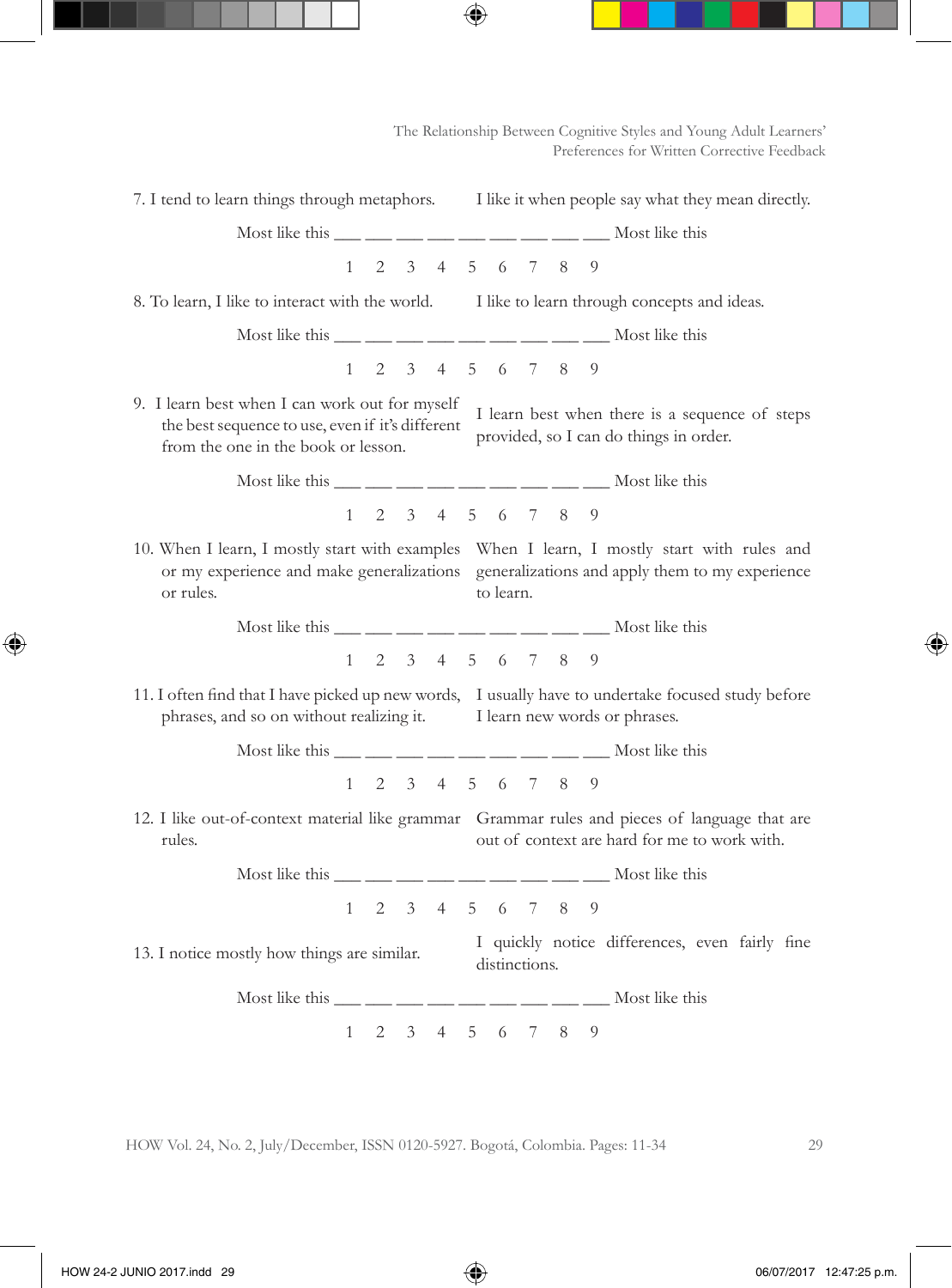The Relationship Between Cognitive Styles and Young Adult Learners' Preferences for Written Corrective Feedback

|                                                                                                                                                                                                                                                                                                                                                                |  |  |  |                                     |  |               |  |  | 7. I tend to learn things through metaphors. I like it when people say what they mean directly.                                               |
|----------------------------------------------------------------------------------------------------------------------------------------------------------------------------------------------------------------------------------------------------------------------------------------------------------------------------------------------------------------|--|--|--|-------------------------------------|--|---------------|--|--|-----------------------------------------------------------------------------------------------------------------------------------------------|
| Most like this ___ __ __ __ __ __ __ __ __ __ __ __ Most like this                                                                                                                                                                                                                                                                                             |  |  |  |                                     |  |               |  |  |                                                                                                                                               |
|                                                                                                                                                                                                                                                                                                                                                                |  |  |  | $1 \t2 \t3 \t4 \t5 \t6 \t7 \t8 \t9$ |  |               |  |  |                                                                                                                                               |
| 8. To learn, I like to interact with the world. I like to learn through concepts and ideas.                                                                                                                                                                                                                                                                    |  |  |  |                                     |  |               |  |  |                                                                                                                                               |
| Most like this ___ __ __ __ __ __ __ __ __ __ __ __ Most like this                                                                                                                                                                                                                                                                                             |  |  |  |                                     |  |               |  |  |                                                                                                                                               |
|                                                                                                                                                                                                                                                                                                                                                                |  |  |  | $1 \t2 \t3 \t4 \t5 \t6 \t7 \t8 \t9$ |  |               |  |  |                                                                                                                                               |
| 9. I learn best when I can work out for myself<br>I learn best when there is a sequence of steps<br>the best sequence to use, even if it's different<br>provided, so I can do things in order.<br>from the one in the book or lesson.                                                                                                                          |  |  |  |                                     |  |               |  |  |                                                                                                                                               |
| Most like this $\frac{1}{\sqrt{2}}$ $\frac{1}{\sqrt{2}}$ $\frac{1}{\sqrt{2}}$ $\frac{1}{\sqrt{2}}$ $\frac{1}{\sqrt{2}}$ $\frac{1}{\sqrt{2}}$ $\frac{1}{\sqrt{2}}$ $\frac{1}{\sqrt{2}}$ $\frac{1}{\sqrt{2}}$ $\frac{1}{\sqrt{2}}$ $\frac{1}{\sqrt{2}}$ $\frac{1}{\sqrt{2}}$ $\frac{1}{\sqrt{2}}$ $\frac{1}{\sqrt{2}}$ $\frac{1}{\sqrt{2}}$ $\frac{1}{\sqrt{2}}$ |  |  |  |                                     |  |               |  |  |                                                                                                                                               |
|                                                                                                                                                                                                                                                                                                                                                                |  |  |  | $1 \t2 \t3 \t4 \t5 \t6 \t7 \t8 \t9$ |  |               |  |  |                                                                                                                                               |
| 10. When I learn, I mostly start with examples When I learn, I mostly start with rules and<br>or my experience and make generalizations generalizations and apply them to my experience<br>to learn.<br>or rules.                                                                                                                                              |  |  |  |                                     |  |               |  |  |                                                                                                                                               |
| Most like this $\frac{1}{\sqrt{2}}$ $\frac{1}{\sqrt{2}}$ $\frac{1}{\sqrt{2}}$ $\frac{1}{\sqrt{2}}$ $\frac{1}{\sqrt{2}}$ $\frac{1}{\sqrt{2}}$ $\frac{1}{\sqrt{2}}$ $\frac{1}{\sqrt{2}}$ $\frac{1}{\sqrt{2}}$ $\frac{1}{\sqrt{2}}$ $\frac{1}{\sqrt{2}}$ $\frac{1}{\sqrt{2}}$ $\frac{1}{\sqrt{2}}$ $\frac{1}{\sqrt{2}}$ $\frac{1}{\sqrt{2}}$ $\frac{1}{\sqrt{2}}$ |  |  |  |                                     |  |               |  |  |                                                                                                                                               |
|                                                                                                                                                                                                                                                                                                                                                                |  |  |  | $1 \t2 \t3 \t4 \t5 \t6 \t7 \t8 \t9$ |  |               |  |  |                                                                                                                                               |
| phrases, and so on without realizing it.                                                                                                                                                                                                                                                                                                                       |  |  |  |                                     |  |               |  |  | 11. I often find that I have picked up new words, I usually have to undertake focused study before<br>I learn new words or phrases.           |
| Most like this ___ __ __ __ __ __ __ __ __ __ __ __ Most like this                                                                                                                                                                                                                                                                                             |  |  |  |                                     |  |               |  |  |                                                                                                                                               |
|                                                                                                                                                                                                                                                                                                                                                                |  |  |  | $1 \t2 \t3 \t4 \t5 \t6 \t7 \t8 \t9$ |  |               |  |  |                                                                                                                                               |
| rules.                                                                                                                                                                                                                                                                                                                                                         |  |  |  |                                     |  |               |  |  | 12. I like out-of-context material like grammar Grammar rules and pieces of language that are<br>out of context are hard for me to work with. |
| Most like this $\frac{1}{\frac{1}{2}}$ $\frac{1}{\frac{1}{2}}$ $\frac{1}{\frac{1}{2}}$ $\frac{1}{\frac{1}{2}}$ $\frac{1}{\frac{1}{2}}$ $\frac{1}{\frac{1}{2}}$ $\frac{1}{\frac{1}{2}}$ Most like this                                                                                                                                                          |  |  |  |                                     |  |               |  |  |                                                                                                                                               |
|                                                                                                                                                                                                                                                                                                                                                                |  |  |  | $1 \t2 \t3 \t4 \t5 \t6 \t7 \t8 \t9$ |  |               |  |  |                                                                                                                                               |
| 13. I notice mostly how things are similar.                                                                                                                                                                                                                                                                                                                    |  |  |  |                                     |  | distinctions. |  |  | I quickly notice differences, even fairly fine                                                                                                |
| Most like this $\frac{1}{\frac{1}{2}}$ $\frac{1}{\frac{1}{2}}$ $\frac{1}{\frac{1}{2}}$ $\frac{1}{\frac{1}{2}}$ $\frac{1}{\frac{1}{2}}$ $\frac{1}{\frac{1}{2}}$ $\frac{1}{\frac{1}{2}}$ Most like this                                                                                                                                                          |  |  |  |                                     |  |               |  |  |                                                                                                                                               |
|                                                                                                                                                                                                                                                                                                                                                                |  |  |  | $1 \t2 \t3 \t4 \t5 \t6 \t7 \t8 \t9$ |  |               |  |  |                                                                                                                                               |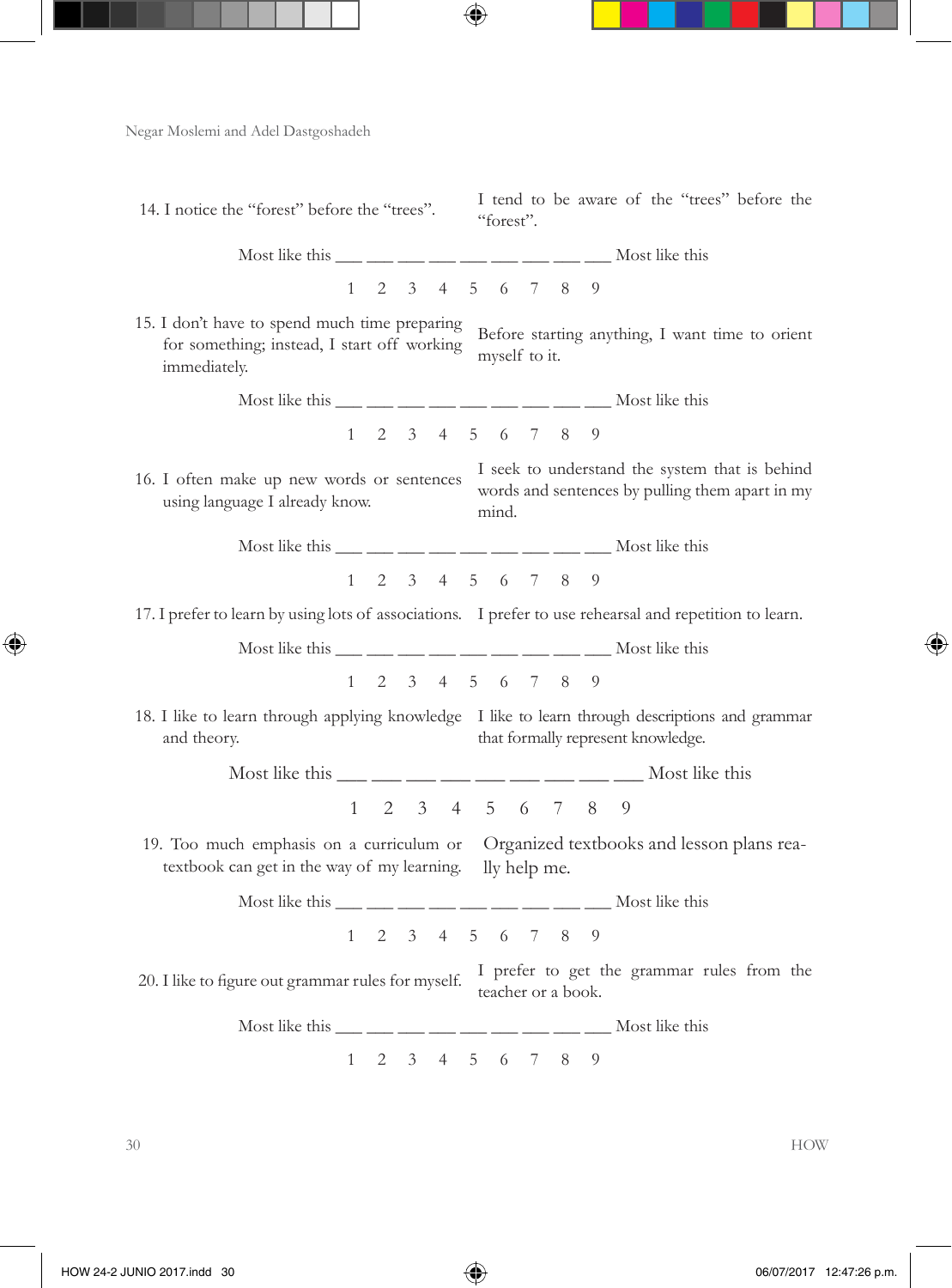14. I notice the "forest" before the "trees". I tend to be aware of the "trees" before the "forest". Most like this  $\frac{1}{\sqrt{2}}$   $\frac{1}{\sqrt{2}}$   $\frac{1}{\sqrt{2}}$   $\frac{1}{\sqrt{2}}$   $\frac{1}{\sqrt{2}}$   $\frac{1}{\sqrt{2}}$   $\frac{1}{\sqrt{2}}$   $\frac{1}{\sqrt{2}}$   $\frac{1}{\sqrt{2}}$   $\frac{1}{\sqrt{2}}$   $\frac{1}{\sqrt{2}}$   $\frac{1}{\sqrt{2}}$   $\frac{1}{\sqrt{2}}$   $\frac{1}{\sqrt{2}}$   $\frac{1}{\sqrt{2}}$   $\frac{1}{\sqrt{2}}$ 1 2 3 4 5 6 7 8 9 15. I don't have to spend much time preparing for something; instead, I start off working immediately. Before starting anything, I want time to orient myself to it. Most like this  $\frac{1}{\frac{1}{\sqrt{2}}}$   $\frac{1}{\sqrt{2}}$   $\frac{1}{\sqrt{2}}$   $\frac{1}{\sqrt{2}}$   $\frac{1}{\sqrt{2}}$   $\frac{1}{\sqrt{2}}$   $\frac{1}{\sqrt{2}}$   $\frac{1}{\sqrt{2}}$   $\frac{1}{\sqrt{2}}$   $\frac{1}{\sqrt{2}}$   $\frac{1}{\sqrt{2}}$   $\frac{1}{\sqrt{2}}$   $\frac{1}{\sqrt{2}}$   $\frac{1}{\sqrt{2}}$   $\frac{1}{\sqrt{2}}$   $\frac{1}{$ 1 2 3 4 5 6 7 8 9 16. I often make up new words or sentences using language I already know. I seek to understand the system that is behind words and sentences by pulling them apart in my mind. Most like this  $\frac{1}{\frac{1}{\sqrt{2}}}$   $\frac{1}{\sqrt{2}}$   $\frac{1}{\sqrt{2}}$   $\frac{1}{\sqrt{2}}$   $\frac{1}{\sqrt{2}}$   $\frac{1}{\sqrt{2}}$   $\frac{1}{\sqrt{2}}$   $\frac{1}{\sqrt{2}}$   $\frac{1}{\sqrt{2}}$   $\frac{1}{\sqrt{2}}$   $\frac{1}{\sqrt{2}}$   $\frac{1}{\sqrt{2}}$   $\frac{1}{\sqrt{2}}$   $\frac{1}{\sqrt{2}}$   $\frac{1}{\sqrt{2}}$   $\frac{1}{$ 1 2 3 4 5 6 7 8 9 17. I prefer to learn by using lots of associations. I prefer to use rehearsal and repetition to learn. Most like this  $\frac{1}{\frac{1}{\sqrt{2}}}$   $\frac{1}{\sqrt{2}}$   $\frac{1}{\sqrt{2}}$   $\frac{1}{\sqrt{2}}$   $\frac{1}{\sqrt{2}}$   $\frac{1}{\sqrt{2}}$   $\frac{1}{\sqrt{2}}$   $\frac{1}{\sqrt{2}}$   $\frac{1}{\sqrt{2}}$   $\frac{1}{\sqrt{2}}$   $\frac{1}{\sqrt{2}}$   $\frac{1}{\sqrt{2}}$   $\frac{1}{\sqrt{2}}$   $\frac{1}{\sqrt{2}}$   $\frac{1}{\sqrt{2}}$   $\frac{1}{$ 1 2 3 4 5 6 7 8 9 18. I like to learn through applying knowledge I like to learn through descriptions and grammar and theory. that formally represent knowledge. Most like this **Most like this** 1 2 3 4 5 6 7 8 9 19. Too much emphasis on a curriculum or Organized textbooks and lesson plans reatextbook can get in the way of my learning. lly help me. Most like this  $\frac{1}{\frac{1}{\sqrt{2}}}$   $\frac{1}{\sqrt{2}}$   $\frac{1}{\sqrt{2}}$   $\frac{1}{\sqrt{2}}$   $\frac{1}{\sqrt{2}}$   $\frac{1}{\sqrt{2}}$   $\frac{1}{\sqrt{2}}$   $\frac{1}{\sqrt{2}}$   $\frac{1}{\sqrt{2}}$   $\frac{1}{\sqrt{2}}$   $\frac{1}{\sqrt{2}}$   $\frac{1}{\sqrt{2}}$   $\frac{1}{\sqrt{2}}$   $\frac{1}{\sqrt{2}}$   $\frac{1}{\sqrt{2}}$   $\frac{1}{$ 1 2 3 4 5 6 7 8 9 20. I like to figure out grammar rules for myself. I prefer to get the grammar rules from the teacher or a book. Most like this  $\frac{1}{\sqrt{2}}$   $\frac{1}{\sqrt{2}}$   $\frac{1}{\sqrt{2}}$   $\frac{1}{\sqrt{2}}$   $\frac{1}{\sqrt{2}}$   $\frac{1}{\sqrt{2}}$   $\frac{1}{\sqrt{2}}$   $\frac{1}{\sqrt{2}}$   $\frac{1}{\sqrt{2}}$   $\frac{1}{\sqrt{2}}$   $\frac{1}{\sqrt{2}}$   $\frac{1}{\sqrt{2}}$   $\frac{1}{\sqrt{2}}$   $\frac{1}{\sqrt{2}}$   $\frac{1}{\sqrt{2}}$   $\frac{1}{\sqrt{2}}$ 1 2 3 4 5 6 7 8 9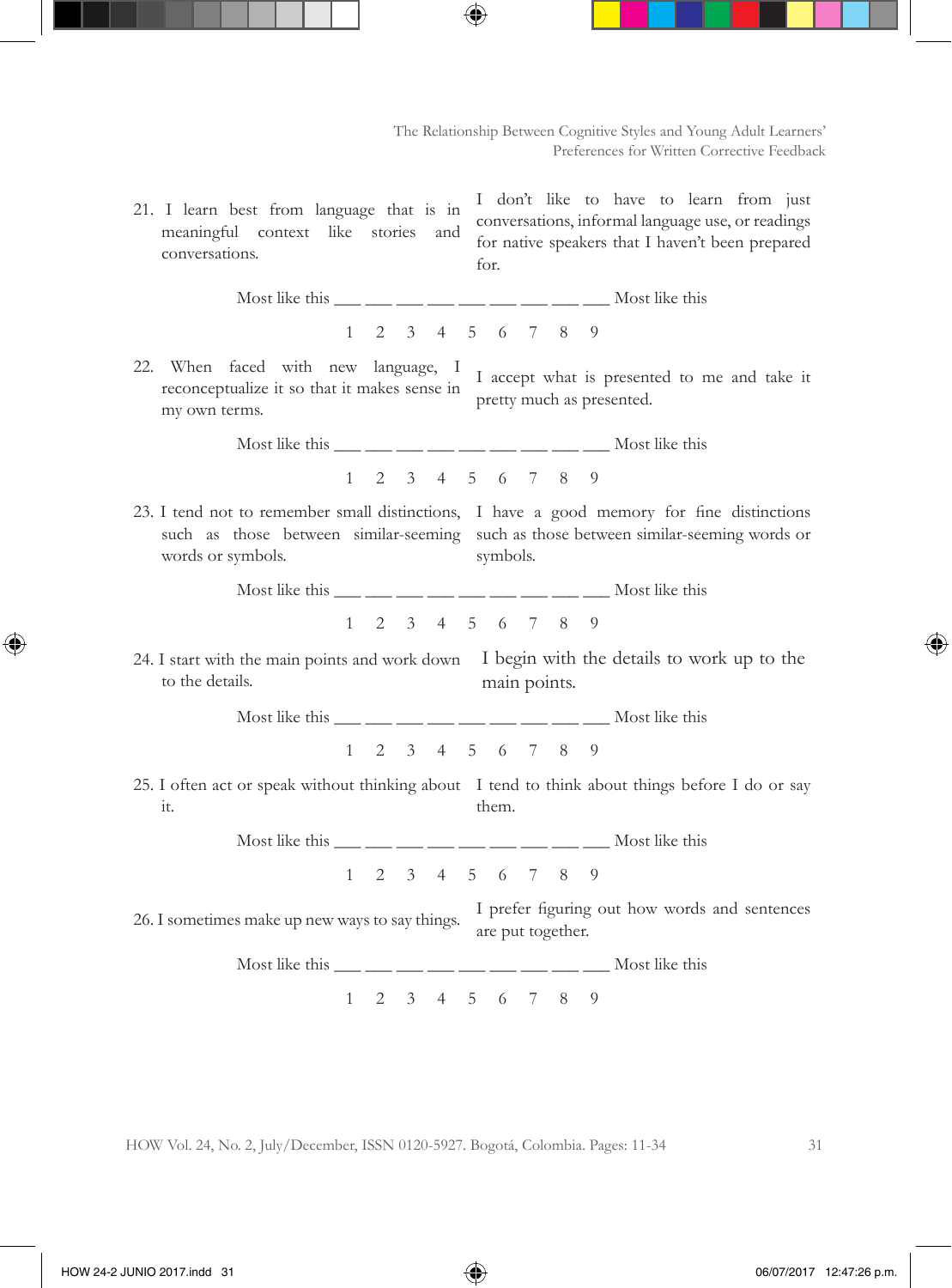21. I learn best from language that is in meaningful context like stories and conversations.

I don't like to have to learn from just conversations, informal language use, or readings for native speakers that I haven't been prepared for.

- Most like this  $\frac{1}{\frac{1}{\sqrt{2}}}$   $\frac{1}{\sqrt{2}}$   $\frac{1}{\sqrt{2}}$   $\frac{1}{\sqrt{2}}$   $\frac{1}{\sqrt{2}}$   $\frac{1}{\sqrt{2}}$   $\frac{1}{\sqrt{2}}$   $\frac{1}{\sqrt{2}}$   $\frac{1}{\sqrt{2}}$   $\frac{1}{\sqrt{2}}$   $\frac{1}{\sqrt{2}}$   $\frac{1}{\sqrt{2}}$   $\frac{1}{\sqrt{2}}$   $\frac{1}{\sqrt{2}}$   $\frac{1}{\sqrt{2}}$   $\frac{1}{$ 1 2 3 4 5 6 7 8 9
- 22. When faced with new language, I my own terms.

when faced what hew hanglangs, I accept what is presented to me and take it reconceptualize it so that it makes sense in pretty much as presented.

> Most like this \_\_\_ \_\_\_ \_\_ \_\_ \_\_ \_\_ \_\_ \_\_ \_\_ Most like this 1 2 3 4 5 6 7 8 9

23. I tend not to remember small distinctions, I have a good memory for fine distinctions words or symbols.

such as those between similar-seeming such as those between similar-seeming words or symbols.

> Most like this  $\frac{1}{\frac{1}{\sqrt{2}}}$   $\frac{1}{\sqrt{2}}$   $\frac{1}{\sqrt{2}}$   $\frac{1}{\sqrt{2}}$   $\frac{1}{\sqrt{2}}$   $\frac{1}{\sqrt{2}}$   $\frac{1}{\sqrt{2}}$   $\frac{1}{\sqrt{2}}$   $\frac{1}{\sqrt{2}}$   $\frac{1}{\sqrt{2}}$   $\frac{1}{\sqrt{2}}$   $\frac{1}{\sqrt{2}}$   $\frac{1}{\sqrt{2}}$   $\frac{1}{\sqrt{2}}$   $\frac{1}{\sqrt{2}}$   $\frac{1}{$ 1 2 3 4 5 6 7 8 9

24. I start with the main points and work down I begin with the details to work up to the to the details. main points.

Most like this  $\frac{1}{\frac{1}{\sqrt{2}}}$   $\frac{1}{\sqrt{2}}$   $\frac{1}{\sqrt{2}}$   $\frac{1}{\sqrt{2}}$   $\frac{1}{\sqrt{2}}$   $\frac{1}{\sqrt{2}}$   $\frac{1}{\sqrt{2}}$   $\frac{1}{\sqrt{2}}$   $\frac{1}{\sqrt{2}}$   $\frac{1}{\sqrt{2}}$   $\frac{1}{\sqrt{2}}$   $\frac{1}{\sqrt{2}}$   $\frac{1}{\sqrt{2}}$   $\frac{1}{\sqrt{2}}$   $\frac{1}{\sqrt{2}}$   $\frac{1}{$ 

1 2 3 4 5 6 7 8 9

25. I often act or speak without thinking about I tend to think about things before I do or say it. them.

> Most like this  $\frac{1}{\sqrt{2}}$   $\frac{1}{\sqrt{2}}$   $\frac{1}{\sqrt{2}}$   $\frac{1}{\sqrt{2}}$   $\frac{1}{\sqrt{2}}$   $\frac{1}{\sqrt{2}}$   $\frac{1}{\sqrt{2}}$   $\frac{1}{\sqrt{2}}$   $\frac{1}{\sqrt{2}}$   $\frac{1}{\sqrt{2}}$   $\frac{1}{\sqrt{2}}$   $\frac{1}{\sqrt{2}}$   $\frac{1}{\sqrt{2}}$   $\frac{1}{\sqrt{2}}$   $\frac{1}{\sqrt{2}}$   $\frac{1}{\sqrt{2}}$ 1 2 3 4 5 6 7 8 9

26. I sometimes make up new ways to say things. I prefer figuring out how words and sentences are put together.

Most like this  $\frac{1}{\frac{1}{\sqrt{2}}}$   $\frac{1}{\sqrt{2}}$   $\frac{1}{\sqrt{2}}$   $\frac{1}{\sqrt{2}}$   $\frac{1}{\sqrt{2}}$   $\frac{1}{\sqrt{2}}$   $\frac{1}{\sqrt{2}}$   $\frac{1}{\sqrt{2}}$   $\frac{1}{\sqrt{2}}$   $\frac{1}{\sqrt{2}}$   $\frac{1}{\sqrt{2}}$   $\frac{1}{\sqrt{2}}$   $\frac{1}{\sqrt{2}}$   $\frac{1}{\sqrt{2}}$   $\frac{1}{\sqrt{2}}$   $\frac{1}{$ 

1 2 3 4 5 6 7 8 9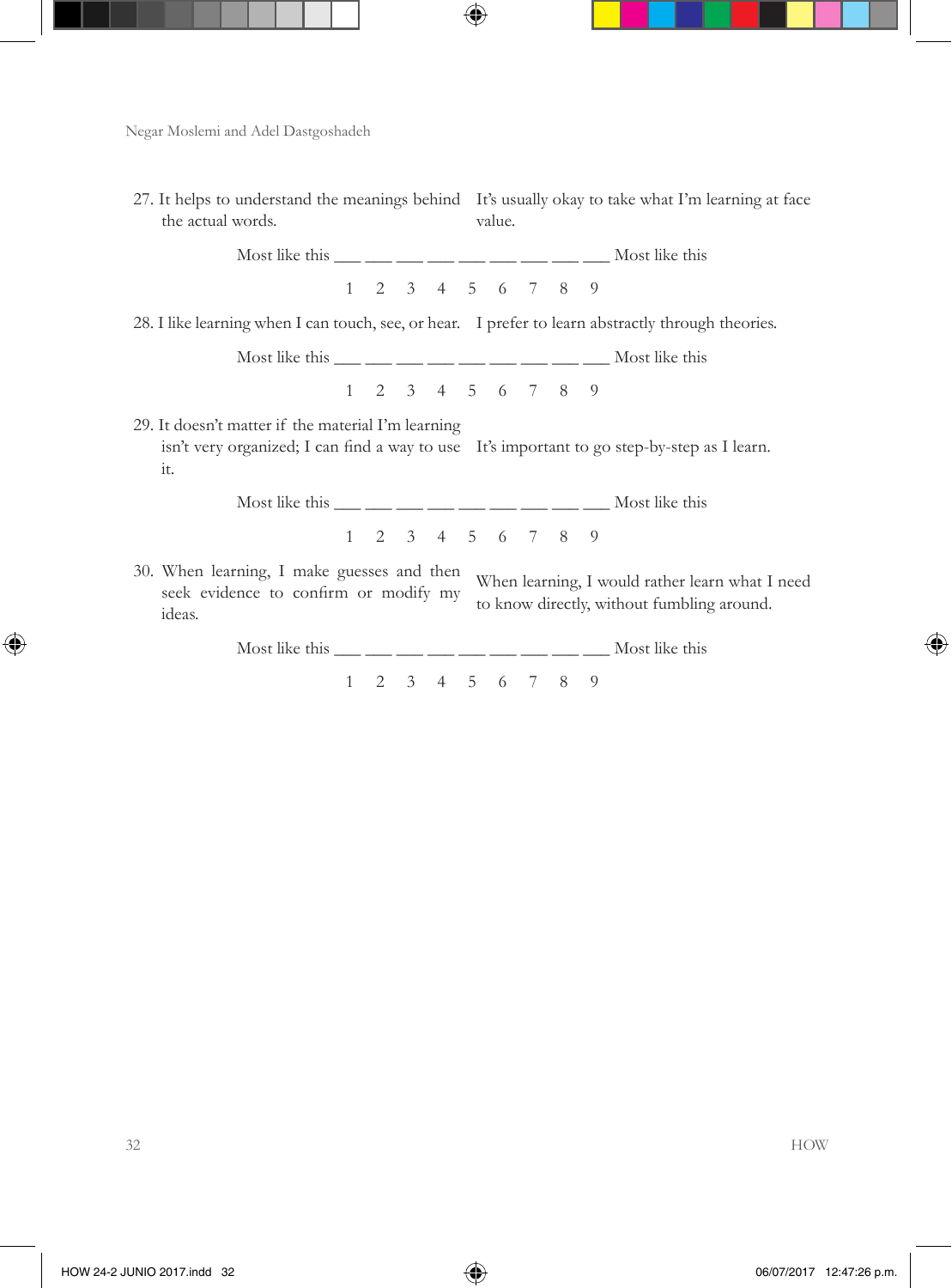| 27. It helps to understand the meanings behind It's usually okay to take what I'm learning at face<br>the actual words.                                                                                                                                                                                                                                                                                               |  |                   | value. |  |                                                                                               |
|-----------------------------------------------------------------------------------------------------------------------------------------------------------------------------------------------------------------------------------------------------------------------------------------------------------------------------------------------------------------------------------------------------------------------|--|-------------------|--------|--|-----------------------------------------------------------------------------------------------|
| Most like this $\frac{1}{\frac{1}{2}} \frac{1}{\frac{1}{2}} \frac{1}{\frac{1}{2}} \frac{1}{\frac{1}{2}} \frac{1}{\frac{1}{2}} \frac{1}{\frac{1}{2}} \frac{1}{\frac{1}{2}} \frac{1}{\frac{1}{2}} \frac{1}{\frac{1}{2}} \frac{1}{\frac{1}{2}} \frac{1}{\frac{1}{2}} \frac{1}{\frac{1}{2}} \frac{1}{\frac{1}{2}} \frac{1}{\frac{1}{2}} \frac{1}{\frac{1}{2}} \frac{1}{\frac{1}{2}} \frac{1}{\frac{1}{2}} \$              |  |                   |        |  |                                                                                               |
|                                                                                                                                                                                                                                                                                                                                                                                                                       |  | 1 2 3 4 5 6 7 8 9 |        |  |                                                                                               |
| 28. I like learning when I can touch, see, or hear. I prefer to learn abstractly through theories.                                                                                                                                                                                                                                                                                                                    |  |                   |        |  |                                                                                               |
| Most like this $\frac{1}{\frac{1}{\sqrt{1-\frac{1}{\sqrt{1-\frac{1}{\sqrt{1-\frac{1}{\sqrt{1-\frac{1}{\sqrt{1-\frac{1}{\sqrt{1-\frac{1}{\sqrt{1-\frac{1}{\sqrt{1-\frac{1}{\sqrt{1-\frac{1}{\sqrt{1-\frac{1}{\sqrt{1-\frac{1}{\sqrt{1-\frac{1}{\sqrt{1-\frac{1}{\sqrt{1-\frac{1}{\sqrt{1-\frac{1}{\sqrt{1-\frac{1}{\sqrt{1-\frac{1}{\sqrt{1-\frac{1}{\sqrt{1-\frac{1}{\sqrt{1-\frac{1}{\sqrt{1-\frac{1}{\sqrt{1-\frac$ |  |                   |        |  |                                                                                               |
|                                                                                                                                                                                                                                                                                                                                                                                                                       |  | 1 2 3 4 5 6 7 8 9 |        |  |                                                                                               |
| 29. It doesn't matter if the material I'm learning<br>isn't very organized; I can find a way to use It's important to go step-by-step as I learn.<br>it.                                                                                                                                                                                                                                                              |  |                   |        |  |                                                                                               |
| Most like this $\frac{1}{1}$ $\frac{1}{1}$ $\frac{1}{1}$ $\frac{1}{1}$ $\frac{1}{1}$ $\frac{1}{1}$ $\frac{1}{1}$ $\frac{1}{1}$ $\frac{1}{1}$ $\frac{1}{1}$ $\frac{1}{1}$ $\frac{1}{1}$ $\frac{1}{1}$ $\frac{1}{1}$ $\frac{1}{1}$ $\frac{1}{1}$ $\frac{1}{1}$ $\frac{1}{1}$ $\frac{1}{1}$ $\frac{1}{1}$ $\frac{1}{$                                                                                                    |  |                   |        |  |                                                                                               |
|                                                                                                                                                                                                                                                                                                                                                                                                                       |  | 1 2 3 4 5 6 7 8 9 |        |  |                                                                                               |
| 30. When learning, I make guesses and then<br>seek evidence to confirm or modify my<br>ideas.                                                                                                                                                                                                                                                                                                                         |  |                   |        |  | When learning, I would rather learn what I need<br>to know directly, without fumbling around. |
| Most like this $\frac{1}{\sqrt{2}}$ $\frac{1}{\sqrt{2}}$ $\frac{1}{\sqrt{2}}$ $\frac{1}{\sqrt{2}}$ $\frac{1}{\sqrt{2}}$ $\frac{1}{\sqrt{2}}$ $\frac{1}{\sqrt{2}}$ $\frac{1}{\sqrt{2}}$ $\frac{1}{\sqrt{2}}$ $\frac{1}{\sqrt{2}}$ $\frac{1}{\sqrt{2}}$ $\frac{1}{\sqrt{2}}$ $\frac{1}{\sqrt{2}}$ $\frac{1}{\sqrt{2}}$ $\frac{1}{\sqrt{2}}$ $\frac{1}{\sqrt{2}}$                                                        |  |                   |        |  |                                                                                               |

1 2 3 4 5 6 7 8 9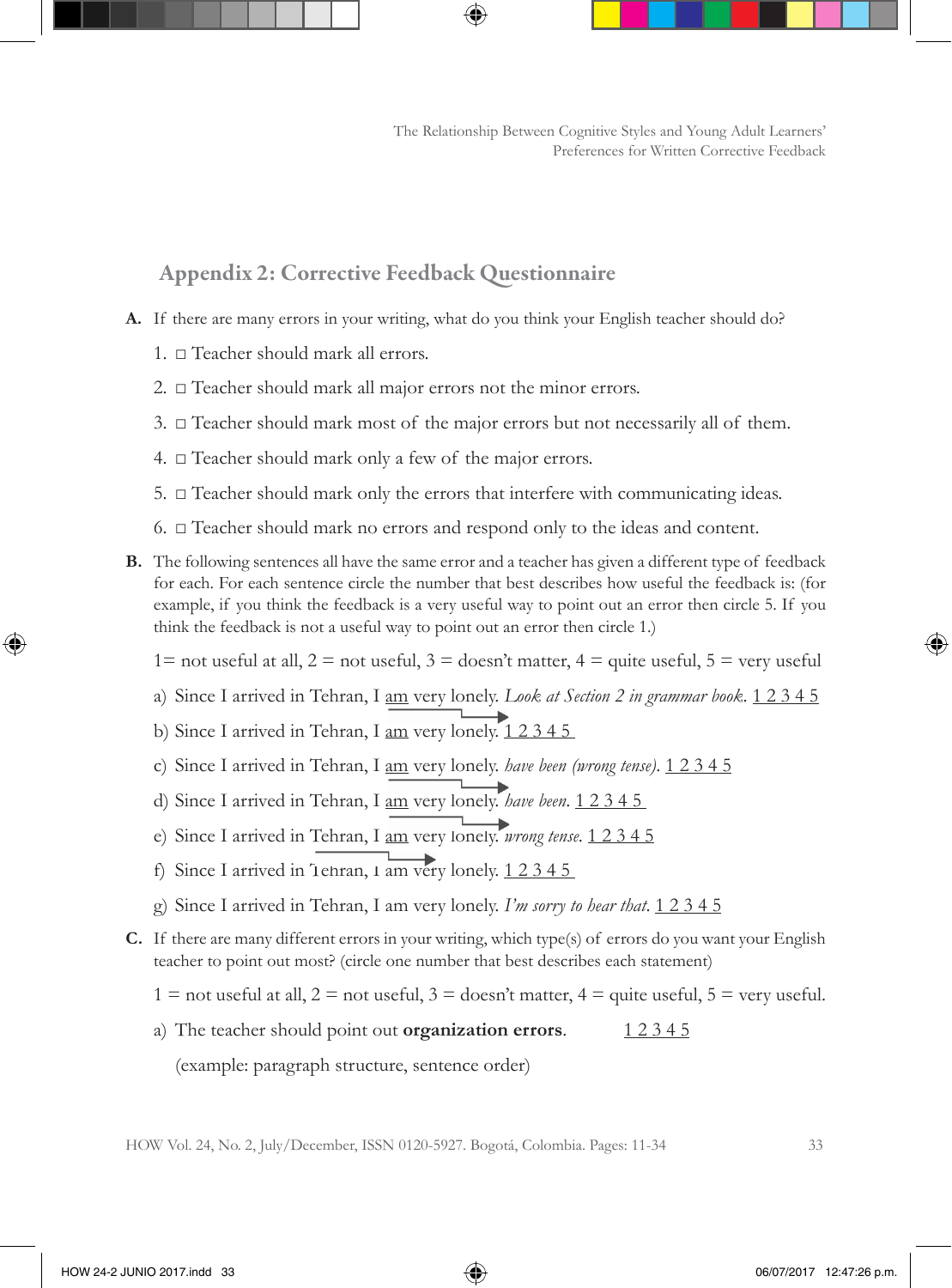### Appendix 2: Corrective Feedback Questionnaire

- **A.** If there are many errors in your writing, what do you think your English teacher should do?
	- 1. □ Teacher should mark all errors.
	- 2. □ Teacher should mark all major errors not the minor errors.
	- 3.  $\Box$  Teacher should mark most of the major errors but not necessarily all of them.
	- 4.  $\Box$  Teacher should mark only a few of the major errors.
	- 5.  $\Box$  Teacher should mark only the errors that interfere with communicating ideas.
	- 6. □ Teacher should mark no errors and respond only to the ideas and content.
- **B.** The following sentences all have the same error and a teacher has given a different type of feedback for each. For each sentence circle the number that best describes how useful the feedback is: (for example, if you think the feedback is a very useful way to point out an error then circle 5. If you think the feedback is not a useful way to point out an error then circle 1.)
	- 1= not useful at all,  $2 =$  not useful,  $3 =$  doesn't matter,  $4 =$  quite useful,  $5 =$  very useful
	- a) Since I arrived in Tehran, I am very lonely. *Look at Section 2 in grammar book*. 1 2 3 4 5
	- b) Since I arrived in Tehran, I am very lonely. 1 2 3 4 5
	- c) Since I arrived in Tehran, I am very lonely. *have been (wrong tense)*. 1 2 3 4 5
	- d) Since I arrived in Tehran, I am very lonely. *have been*. 1 2 3 4 5
	- e) Since I arrived in Tehran, I <u>am</u> very lonely. *wrong tense*. 1 2 3 4 5
	- f) Since I arrived in Tehran,  $\frac{1}{2}$  am very lonely.  $\frac{1}{2}$  2 3 4 5
	- g) Since I arrived in Tehran, I am very lonely. *I'm sorry to hear that*. 1 2 3 4 5
- **C.** If there are many different errors in your writing, which type(s) of errors do you want your English teacher to point out most? (circle one number that best describes each statement)
	- $1 =$  not useful at all,  $2 =$  not useful,  $3 =$  doesn't matter,  $4 =$  quite useful,  $5 =$  very useful.
	- a) The teacher should point out **organization errors**. 12345

(example: paragraph structure, sentence order)